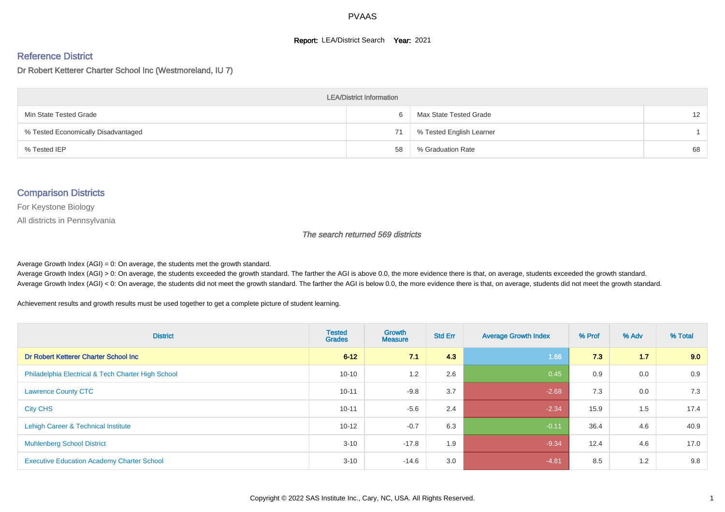#### **Report: LEA/District Search Year: 2021**

#### Reference District

#### Dr Robert Ketterer Charter School Inc (Westmoreland, IU 7)

| <b>LEA/District Information</b>     |    |                          |                 |  |  |  |  |  |  |  |
|-------------------------------------|----|--------------------------|-----------------|--|--|--|--|--|--|--|
| Min State Tested Grade              |    | Max State Tested Grade   | 12 <sup>2</sup> |  |  |  |  |  |  |  |
| % Tested Economically Disadvantaged | 71 | % Tested English Learner |                 |  |  |  |  |  |  |  |
| % Tested IEP                        | 58 | % Graduation Rate        | 68              |  |  |  |  |  |  |  |

#### Comparison Districts

For Keystone Biology

All districts in Pennsylvania

The search returned 569 districts

Average Growth Index  $(AGI) = 0$ : On average, the students met the growth standard.

Average Growth Index (AGI) > 0: On average, the students exceeded the growth standard. The farther the AGI is above 0.0, the more evidence there is that, on average, students exceeded the growth standard. Average Growth Index (AGI) < 0: On average, the students did not meet the growth standard. The farther the AGI is below 0.0, the more evidence there is that, on average, students did not meet the growth standard.

Achievement results and growth results must be used together to get a complete picture of student learning.

| <b>District</b>                                    | <b>Tested</b><br><b>Grades</b> | Growth<br><b>Measure</b> | <b>Std Err</b> | <b>Average Growth Index</b> | % Prof | % Adv | % Total |
|----------------------------------------------------|--------------------------------|--------------------------|----------------|-----------------------------|--------|-------|---------|
| Dr Robert Ketterer Charter School Inc              | $6 - 12$                       | 7.1                      | 4.3            | 1.66                        | 7.3    | 1.7   | 9.0     |
| Philadelphia Electrical & Tech Charter High School | $10 - 10$                      | 1.2                      | 2.6            | 0.45                        | 0.9    | 0.0   | 0.9     |
| <b>Lawrence County CTC</b>                         | $10 - 11$                      | $-9.8$                   | 3.7            | $-2.68$                     | 7.3    | 0.0   | 7.3     |
| <b>City CHS</b>                                    | $10 - 11$                      | $-5.6$                   | 2.4            | $-2.34$                     | 15.9   | 1.5   | 17.4    |
| Lehigh Career & Technical Institute                | $10 - 12$                      | $-0.7$                   | 6.3            | $-0.11$                     | 36.4   | 4.6   | 40.9    |
| <b>Muhlenberg School District</b>                  | $3 - 10$                       | $-17.8$                  | 1.9            | $-9.34$                     | 12.4   | 4.6   | 17.0    |
| <b>Executive Education Academy Charter School</b>  | $3 - 10$                       | $-14.6$                  | 3.0            | $-4.81$                     | 8.5    | 1.2   | 9.8     |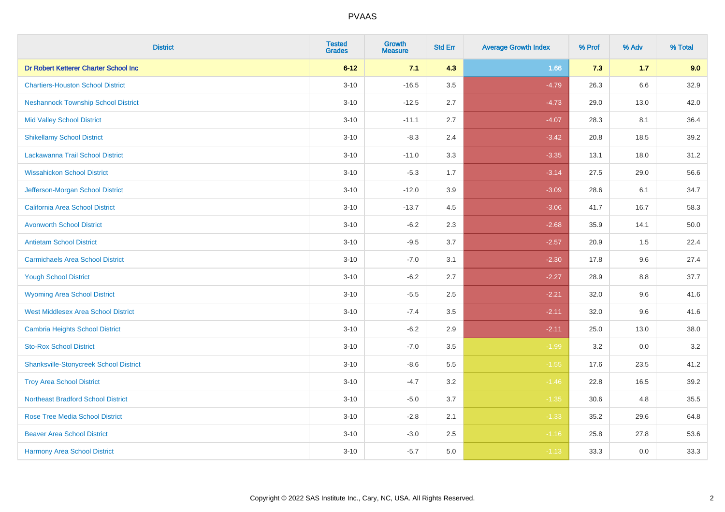| <b>District</b>                               | <b>Tested</b><br><b>Grades</b> | <b>Growth</b><br><b>Measure</b> | <b>Std Err</b> | <b>Average Growth Index</b> | % Prof | % Adv   | % Total |
|-----------------------------------------------|--------------------------------|---------------------------------|----------------|-----------------------------|--------|---------|---------|
| Dr Robert Ketterer Charter School Inc         | $6 - 12$                       | 7.1                             | 4.3            | 1.66                        | 7.3    | $1.7$   | 9.0     |
| <b>Chartiers-Houston School District</b>      | $3 - 10$                       | $-16.5$                         | 3.5            | $-4.79$                     | 26.3   | 6.6     | 32.9    |
| <b>Neshannock Township School District</b>    | $3 - 10$                       | $-12.5$                         | 2.7            | $-4.73$                     | 29.0   | 13.0    | 42.0    |
| <b>Mid Valley School District</b>             | $3 - 10$                       | $-11.1$                         | 2.7            | $-4.07$                     | 28.3   | 8.1     | 36.4    |
| <b>Shikellamy School District</b>             | $3 - 10$                       | $-8.3$                          | 2.4            | $-3.42$                     | 20.8   | 18.5    | 39.2    |
| Lackawanna Trail School District              | $3 - 10$                       | $-11.0$                         | 3.3            | $-3.35$                     | 13.1   | 18.0    | 31.2    |
| <b>Wissahickon School District</b>            | $3 - 10$                       | $-5.3$                          | 1.7            | $-3.14$                     | 27.5   | 29.0    | 56.6    |
| Jefferson-Morgan School District              | $3 - 10$                       | $-12.0$                         | 3.9            | $-3.09$                     | 28.6   | 6.1     | 34.7    |
| <b>California Area School District</b>        | $3 - 10$                       | $-13.7$                         | 4.5            | $-3.06$                     | 41.7   | 16.7    | 58.3    |
| <b>Avonworth School District</b>              | $3 - 10$                       | $-6.2$                          | 2.3            | $-2.68$                     | 35.9   | 14.1    | 50.0    |
| <b>Antietam School District</b>               | $3 - 10$                       | $-9.5$                          | 3.7            | $-2.57$                     | 20.9   | 1.5     | 22.4    |
| <b>Carmichaels Area School District</b>       | $3 - 10$                       | $-7.0$                          | 3.1            | $-2.30$                     | 17.8   | 9.6     | 27.4    |
| <b>Yough School District</b>                  | $3 - 10$                       | $-6.2$                          | 2.7            | $-2.27$                     | 28.9   | $8.8\,$ | 37.7    |
| <b>Wyoming Area School District</b>           | $3 - 10$                       | $-5.5$                          | 2.5            | $-2.21$                     | 32.0   | 9.6     | 41.6    |
| <b>West Middlesex Area School District</b>    | $3 - 10$                       | $-7.4$                          | 3.5            | $-2.11$                     | 32.0   | 9.6     | 41.6    |
| <b>Cambria Heights School District</b>        | $3 - 10$                       | $-6.2$                          | 2.9            | $-2.11$                     | 25.0   | 13.0    | 38.0    |
| <b>Sto-Rox School District</b>                | $3 - 10$                       | $-7.0$                          | 3.5            | $-1.99$                     | 3.2    | 0.0     | 3.2     |
| <b>Shanksville-Stonycreek School District</b> | $3 - 10$                       | $-8.6$                          | 5.5            | $-1.55$                     | 17.6   | 23.5    | 41.2    |
| <b>Troy Area School District</b>              | $3 - 10$                       | $-4.7$                          | 3.2            | $-1.46$                     | 22.8   | 16.5    | 39.2    |
| <b>Northeast Bradford School District</b>     | $3 - 10$                       | $-5.0$                          | 3.7            | $-1.35$                     | 30.6   | 4.8     | 35.5    |
| <b>Rose Tree Media School District</b>        | $3 - 10$                       | $-2.8$                          | 2.1            | $-1.33$                     | 35.2   | 29.6    | 64.8    |
| <b>Beaver Area School District</b>            | $3 - 10$                       | $-3.0$                          | 2.5            | $-1.16$                     | 25.8   | 27.8    | 53.6    |
| <b>Harmony Area School District</b>           | $3 - 10$                       | $-5.7$                          | 5.0            | $-1.13$                     | 33.3   | 0.0     | 33.3    |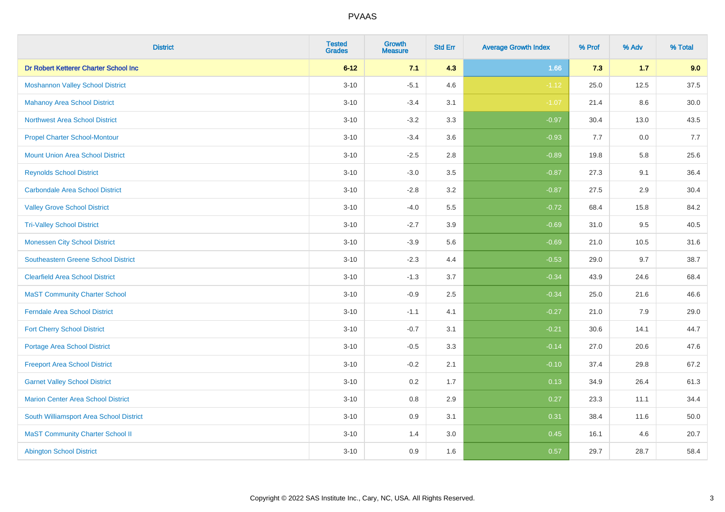| <b>District</b>                            | <b>Tested</b><br><b>Grades</b> | <b>Growth</b><br><b>Measure</b> | <b>Std Err</b> | <b>Average Growth Index</b> | % Prof | % Adv | % Total  |
|--------------------------------------------|--------------------------------|---------------------------------|----------------|-----------------------------|--------|-------|----------|
| Dr Robert Ketterer Charter School Inc      | $6 - 12$                       | 7.1                             | 4.3            | 1.66                        | 7.3    | $1.7$ | 9.0      |
| <b>Moshannon Valley School District</b>    | $3 - 10$                       | $-5.1$                          | 4.6            | $-1.12$                     | 25.0   | 12.5  | 37.5     |
| <b>Mahanoy Area School District</b>        | $3 - 10$                       | $-3.4$                          | 3.1            | $-1.07$                     | 21.4   | 8.6   | $30.0\,$ |
| <b>Northwest Area School District</b>      | $3 - 10$                       | $-3.2$                          | 3.3            | $-0.97$                     | 30.4   | 13.0  | 43.5     |
| <b>Propel Charter School-Montour</b>       | $3 - 10$                       | $-3.4$                          | 3.6            | $-0.93$                     | 7.7    | 0.0   | 7.7      |
| <b>Mount Union Area School District</b>    | $3 - 10$                       | $-2.5$                          | 2.8            | $-0.89$                     | 19.8   | 5.8   | 25.6     |
| <b>Reynolds School District</b>            | $3 - 10$                       | $-3.0$                          | 3.5            | $-0.87$                     | 27.3   | 9.1   | 36.4     |
| <b>Carbondale Area School District</b>     | $3 - 10$                       | $-2.8$                          | 3.2            | $-0.87$                     | 27.5   | 2.9   | 30.4     |
| <b>Valley Grove School District</b>        | $3 - 10$                       | $-4.0$                          | 5.5            | $-0.72$                     | 68.4   | 15.8  | 84.2     |
| <b>Tri-Valley School District</b>          | $3 - 10$                       | $-2.7$                          | 3.9            | $-0.69$                     | 31.0   | 9.5   | 40.5     |
| <b>Monessen City School District</b>       | $3 - 10$                       | $-3.9$                          | 5.6            | $-0.69$                     | 21.0   | 10.5  | 31.6     |
| <b>Southeastern Greene School District</b> | $3 - 10$                       | $-2.3$                          | 4.4            | $-0.53$                     | 29.0   | 9.7   | 38.7     |
| <b>Clearfield Area School District</b>     | $3 - 10$                       | $-1.3$                          | 3.7            | $-0.34$                     | 43.9   | 24.6  | 68.4     |
| <b>MaST Community Charter School</b>       | $3 - 10$                       | $-0.9$                          | 2.5            | $-0.34$                     | 25.0   | 21.6  | 46.6     |
| <b>Ferndale Area School District</b>       | $3 - 10$                       | $-1.1$                          | 4.1            | $-0.27$                     | 21.0   | 7.9   | 29.0     |
| <b>Fort Cherry School District</b>         | $3 - 10$                       | $-0.7$                          | 3.1            | $-0.21$                     | 30.6   | 14.1  | 44.7     |
| Portage Area School District               | $3 - 10$                       | $-0.5$                          | 3.3            | $-0.14$                     | 27.0   | 20.6  | 47.6     |
| <b>Freeport Area School District</b>       | $3 - 10$                       | $-0.2$                          | 2.1            | $-0.10$                     | 37.4   | 29.8  | 67.2     |
| <b>Garnet Valley School District</b>       | $3 - 10$                       | 0.2                             | 1.7            | 0.13                        | 34.9   | 26.4  | 61.3     |
| <b>Marion Center Area School District</b>  | $3 - 10$                       | 0.8                             | 2.9            | 0.27                        | 23.3   | 11.1  | 34.4     |
| South Williamsport Area School District    | $3 - 10$                       | 0.9                             | 3.1            | 0.31                        | 38.4   | 11.6  | 50.0     |
| <b>MaST Community Charter School II</b>    | $3 - 10$                       | 1.4                             | 3.0            | 0.45                        | 16.1   | 4.6   | 20.7     |
| <b>Abington School District</b>            | $3 - 10$                       | 0.9                             | 1.6            | 0.57                        | 29.7   | 28.7  | 58.4     |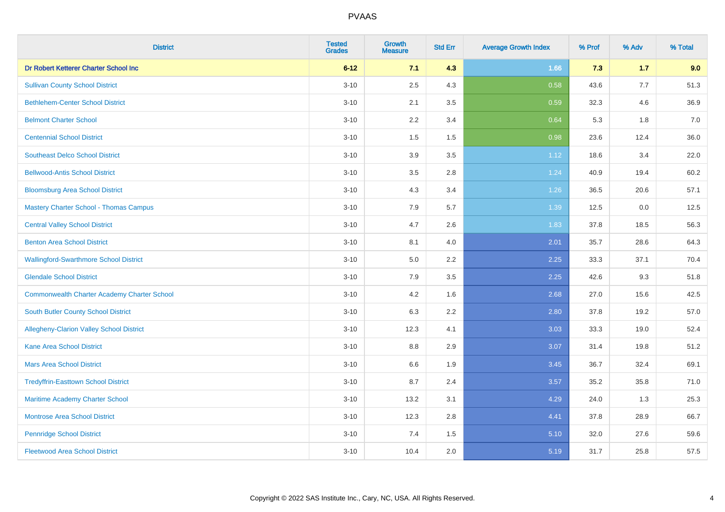| <b>District</b>                                    | <b>Tested</b><br><b>Grades</b> | <b>Growth</b><br><b>Measure</b> | <b>Std Err</b> | <b>Average Growth Index</b> | % Prof | % Adv | % Total |
|----------------------------------------------------|--------------------------------|---------------------------------|----------------|-----------------------------|--------|-------|---------|
| Dr Robert Ketterer Charter School Inc              | $6 - 12$                       | 7.1                             | 4.3            | 1.66                        | 7.3    | 1.7   | 9.0     |
| <b>Sullivan County School District</b>             | $3 - 10$                       | 2.5                             | 4.3            | 0.58                        | 43.6   | 7.7   | 51.3    |
| <b>Bethlehem-Center School District</b>            | $3 - 10$                       | 2.1                             | 3.5            | 0.59                        | 32.3   | 4.6   | 36.9    |
| <b>Belmont Charter School</b>                      | $3 - 10$                       | 2.2                             | 3.4            | 0.64                        | 5.3    | 1.8   | 7.0     |
| <b>Centennial School District</b>                  | $3 - 10$                       | 1.5                             | 1.5            | 0.98                        | 23.6   | 12.4  | 36.0    |
| <b>Southeast Delco School District</b>             | $3 - 10$                       | 3.9                             | 3.5            | 1.12                        | 18.6   | 3.4   | 22.0    |
| <b>Bellwood-Antis School District</b>              | $3 - 10$                       | 3.5                             | 2.8            | 1.24                        | 40.9   | 19.4  | 60.2    |
| <b>Bloomsburg Area School District</b>             | $3 - 10$                       | 4.3                             | 3.4            | 1.26                        | 36.5   | 20.6  | 57.1    |
| <b>Mastery Charter School - Thomas Campus</b>      | $3 - 10$                       | 7.9                             | 5.7            | 1.39                        | 12.5   | 0.0   | 12.5    |
| <b>Central Valley School District</b>              | $3 - 10$                       | 4.7                             | 2.6            | 1.83                        | 37.8   | 18.5  | 56.3    |
| <b>Benton Area School District</b>                 | $3 - 10$                       | 8.1                             | 4.0            | 2.01                        | 35.7   | 28.6  | 64.3    |
| <b>Wallingford-Swarthmore School District</b>      | $3 - 10$                       | 5.0                             | 2.2            | 2.25                        | 33.3   | 37.1  | 70.4    |
| <b>Glendale School District</b>                    | $3 - 10$                       | 7.9                             | 3.5            | 2.25                        | 42.6   | 9.3   | 51.8    |
| <b>Commonwealth Charter Academy Charter School</b> | $3 - 10$                       | 4.2                             | 1.6            | 2.68                        | 27.0   | 15.6  | 42.5    |
| South Butler County School District                | $3 - 10$                       | 6.3                             | 2.2            | 2.80                        | 37.8   | 19.2  | 57.0    |
| Allegheny-Clarion Valley School District           | $3 - 10$                       | 12.3                            | 4.1            | 3.03                        | 33.3   | 19.0  | 52.4    |
| <b>Kane Area School District</b>                   | $3 - 10$                       | 8.8                             | 2.9            | 3.07                        | 31.4   | 19.8  | 51.2    |
| <b>Mars Area School District</b>                   | $3 - 10$                       | 6.6                             | 1.9            | 3.45                        | 36.7   | 32.4  | 69.1    |
| <b>Tredyffrin-Easttown School District</b>         | $3 - 10$                       | 8.7                             | 2.4            | 3.57                        | 35.2   | 35.8  | 71.0    |
| Maritime Academy Charter School                    | $3 - 10$                       | 13.2                            | 3.1            | 4.29                        | 24.0   | 1.3   | 25.3    |
| <b>Montrose Area School District</b>               | $3 - 10$                       | 12.3                            | 2.8            | 4.41                        | 37.8   | 28.9  | 66.7    |
| <b>Pennridge School District</b>                   | $3 - 10$                       | 7.4                             | 1.5            | 5.10                        | 32.0   | 27.6  | 59.6    |
| <b>Fleetwood Area School District</b>              | $3 - 10$                       | 10.4                            | 2.0            | 5.19                        | 31.7   | 25.8  | 57.5    |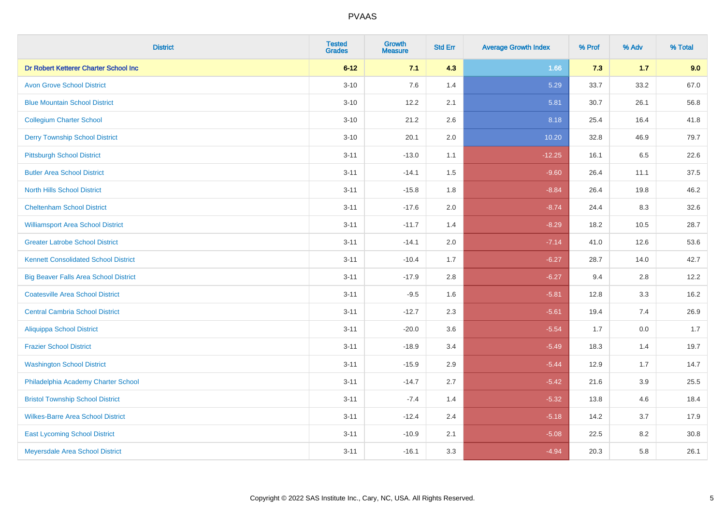| <b>District</b>                              | <b>Tested</b><br><b>Grades</b> | <b>Growth</b><br><b>Measure</b> | <b>Std Err</b> | <b>Average Growth Index</b> | % Prof | % Adv   | % Total |
|----------------------------------------------|--------------------------------|---------------------------------|----------------|-----------------------------|--------|---------|---------|
| Dr Robert Ketterer Charter School Inc        | $6 - 12$                       | 7.1                             | 4.3            | 1.66                        | 7.3    | $1.7$   | 9.0     |
| <b>Avon Grove School District</b>            | $3 - 10$                       | 7.6                             | 1.4            | 5.29                        | 33.7   | 33.2    | 67.0    |
| <b>Blue Mountain School District</b>         | $3 - 10$                       | 12.2                            | 2.1            | 5.81                        | 30.7   | 26.1    | 56.8    |
| <b>Collegium Charter School</b>              | $3 - 10$                       | 21.2                            | 2.6            | 8.18                        | 25.4   | 16.4    | 41.8    |
| <b>Derry Township School District</b>        | $3 - 10$                       | 20.1                            | 2.0            | 10.20                       | 32.8   | 46.9    | 79.7    |
| <b>Pittsburgh School District</b>            | $3 - 11$                       | $-13.0$                         | 1.1            | $-12.25$                    | 16.1   | 6.5     | 22.6    |
| <b>Butler Area School District</b>           | $3 - 11$                       | $-14.1$                         | 1.5            | $-9.60$                     | 26.4   | 11.1    | 37.5    |
| <b>North Hills School District</b>           | $3 - 11$                       | $-15.8$                         | 1.8            | $-8.84$                     | 26.4   | 19.8    | 46.2    |
| <b>Cheltenham School District</b>            | $3 - 11$                       | $-17.6$                         | 2.0            | $-8.74$                     | 24.4   | 8.3     | 32.6    |
| <b>Williamsport Area School District</b>     | $3 - 11$                       | $-11.7$                         | 1.4            | $-8.29$                     | 18.2   | 10.5    | 28.7    |
| <b>Greater Latrobe School District</b>       | $3 - 11$                       | $-14.1$                         | 2.0            | $-7.14$                     | 41.0   | 12.6    | 53.6    |
| <b>Kennett Consolidated School District</b>  | $3 - 11$                       | $-10.4$                         | 1.7            | $-6.27$                     | 28.7   | 14.0    | 42.7    |
| <b>Big Beaver Falls Area School District</b> | $3 - 11$                       | $-17.9$                         | 2.8            | $-6.27$                     | 9.4    | 2.8     | 12.2    |
| <b>Coatesville Area School District</b>      | $3 - 11$                       | $-9.5$                          | 1.6            | $-5.81$                     | 12.8   | 3.3     | 16.2    |
| <b>Central Cambria School District</b>       | $3 - 11$                       | $-12.7$                         | 2.3            | $-5.61$                     | 19.4   | 7.4     | 26.9    |
| <b>Aliquippa School District</b>             | $3 - 11$                       | $-20.0$                         | 3.6            | $-5.54$                     | 1.7    | $0.0\,$ | 1.7     |
| <b>Frazier School District</b>               | $3 - 11$                       | $-18.9$                         | 3.4            | $-5.49$                     | 18.3   | 1.4     | 19.7    |
| <b>Washington School District</b>            | $3 - 11$                       | $-15.9$                         | 2.9            | $-5.44$                     | 12.9   | 1.7     | 14.7    |
| Philadelphia Academy Charter School          | $3 - 11$                       | $-14.7$                         | 2.7            | $-5.42$                     | 21.6   | 3.9     | 25.5    |
| <b>Bristol Township School District</b>      | $3 - 11$                       | $-7.4$                          | 1.4            | $-5.32$                     | 13.8   | 4.6     | 18.4    |
| <b>Wilkes-Barre Area School District</b>     | $3 - 11$                       | $-12.4$                         | 2.4            | $-5.18$                     | 14.2   | 3.7     | 17.9    |
| <b>East Lycoming School District</b>         | $3 - 11$                       | $-10.9$                         | 2.1            | $-5.08$                     | 22.5   | 8.2     | 30.8    |
| Meyersdale Area School District              | $3 - 11$                       | $-16.1$                         | 3.3            | $-4.94$                     | 20.3   | 5.8     | 26.1    |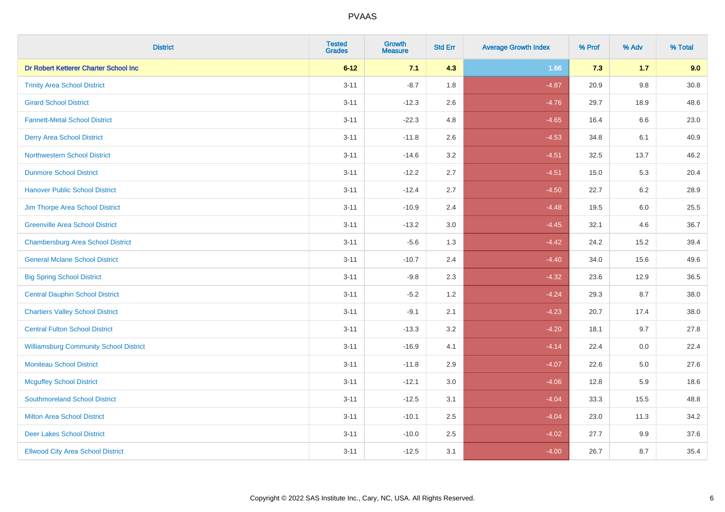| <b>District</b>                               | <b>Tested</b><br><b>Grades</b> | <b>Growth</b><br><b>Measure</b> | <b>Std Err</b> | <b>Average Growth Index</b> | % Prof | % Adv | % Total  |
|-----------------------------------------------|--------------------------------|---------------------------------|----------------|-----------------------------|--------|-------|----------|
| Dr Robert Ketterer Charter School Inc         | $6 - 12$                       | 7.1                             | 4.3            | 1.66                        | 7.3    | 1.7   | 9.0      |
| <b>Trinity Area School District</b>           | $3 - 11$                       | $-8.7$                          | 1.8            | $-4.87$                     | 20.9   | 9.8   | $30.8\,$ |
| <b>Girard School District</b>                 | $3 - 11$                       | $-12.3$                         | 2.6            | $-4.76$                     | 29.7   | 18.9  | 48.6     |
| <b>Fannett-Metal School District</b>          | $3 - 11$                       | $-22.3$                         | 4.8            | $-4.65$                     | 16.4   | 6.6   | 23.0     |
| <b>Derry Area School District</b>             | $3 - 11$                       | $-11.8$                         | 2.6            | $-4.53$                     | 34.8   | 6.1   | 40.9     |
| <b>Northwestern School District</b>           | $3 - 11$                       | $-14.6$                         | 3.2            | $-4.51$                     | 32.5   | 13.7  | 46.2     |
| <b>Dunmore School District</b>                | $3 - 11$                       | $-12.2$                         | 2.7            | $-4.51$                     | 15.0   | 5.3   | 20.4     |
| <b>Hanover Public School District</b>         | $3 - 11$                       | $-12.4$                         | 2.7            | $-4.50$                     | 22.7   | 6.2   | 28.9     |
| Jim Thorpe Area School District               | $3 - 11$                       | $-10.9$                         | 2.4            | $-4.48$                     | 19.5   | 6.0   | 25.5     |
| <b>Greenville Area School District</b>        | $3 - 11$                       | $-13.2$                         | 3.0            | $-4.45$                     | 32.1   | 4.6   | 36.7     |
| <b>Chambersburg Area School District</b>      | $3 - 11$                       | $-5.6$                          | 1.3            | $-4.42$                     | 24.2   | 15.2  | 39.4     |
| <b>General Mclane School District</b>         | $3 - 11$                       | $-10.7$                         | 2.4            | $-4.40$                     | 34.0   | 15.6  | 49.6     |
| <b>Big Spring School District</b>             | $3 - 11$                       | $-9.8$                          | 2.3            | $-4.32$                     | 23.6   | 12.9  | 36.5     |
| <b>Central Dauphin School District</b>        | $3 - 11$                       | $-5.2$                          | 1.2            | $-4.24$                     | 29.3   | 8.7   | 38.0     |
| <b>Chartiers Valley School District</b>       | $3 - 11$                       | $-9.1$                          | 2.1            | $-4.23$                     | 20.7   | 17.4  | 38.0     |
| <b>Central Fulton School District</b>         | $3 - 11$                       | $-13.3$                         | 3.2            | $-4.20$                     | 18.1   | 9.7   | 27.8     |
| <b>Williamsburg Community School District</b> | $3 - 11$                       | $-16.9$                         | 4.1            | $-4.14$                     | 22.4   | 0.0   | 22.4     |
| <b>Moniteau School District</b>               | $3 - 11$                       | $-11.8$                         | 2.9            | $-4.07$                     | 22.6   | 5.0   | 27.6     |
| <b>Mcguffey School District</b>               | $3 - 11$                       | $-12.1$                         | 3.0            | $-4.06$                     | 12.8   | 5.9   | 18.6     |
| <b>Southmoreland School District</b>          | $3 - 11$                       | $-12.5$                         | 3.1            | $-4.04$                     | 33.3   | 15.5  | 48.8     |
| <b>Milton Area School District</b>            | $3 - 11$                       | $-10.1$                         | 2.5            | $-4.04$                     | 23.0   | 11.3  | 34.2     |
| <b>Deer Lakes School District</b>             | $3 - 11$                       | $-10.0$                         | 2.5            | $-4.02$                     | 27.7   | 9.9   | 37.6     |
| <b>Ellwood City Area School District</b>      | $3 - 11$                       | $-12.5$                         | 3.1            | $-4.00$                     | 26.7   | 8.7   | 35.4     |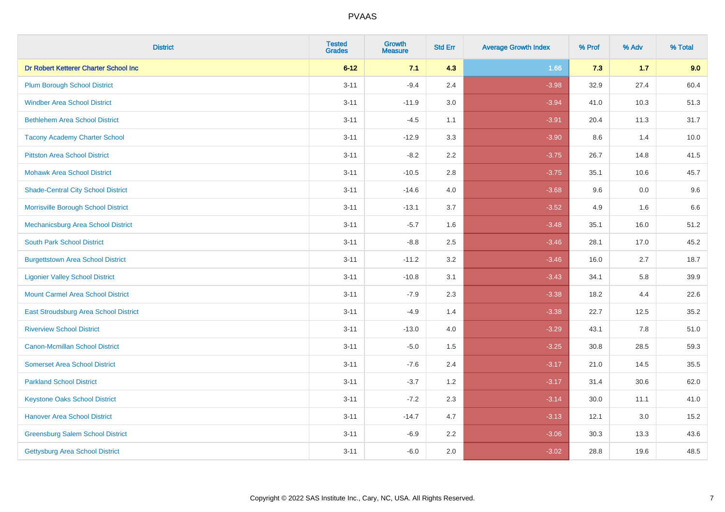| <b>District</b>                           | <b>Tested</b><br><b>Grades</b> | <b>Growth</b><br><b>Measure</b> | <b>Std Err</b> | <b>Average Growth Index</b> | % Prof | % Adv | % Total |
|-------------------------------------------|--------------------------------|---------------------------------|----------------|-----------------------------|--------|-------|---------|
| Dr Robert Ketterer Charter School Inc     | $6 - 12$                       | 7.1                             | 4.3            | 1.66                        | 7.3    | $1.7$ | 9.0     |
| <b>Plum Borough School District</b>       | $3 - 11$                       | $-9.4$                          | 2.4            | $-3.98$                     | 32.9   | 27.4  | 60.4    |
| <b>Windber Area School District</b>       | $3 - 11$                       | $-11.9$                         | 3.0            | $-3.94$                     | 41.0   | 10.3  | 51.3    |
| <b>Bethlehem Area School District</b>     | $3 - 11$                       | $-4.5$                          | 1.1            | $-3.91$                     | 20.4   | 11.3  | 31.7    |
| <b>Tacony Academy Charter School</b>      | $3 - 11$                       | $-12.9$                         | 3.3            | $-3.90$                     | 8.6    | 1.4   | 10.0    |
| <b>Pittston Area School District</b>      | $3 - 11$                       | $-8.2$                          | 2.2            | $-3.75$                     | 26.7   | 14.8  | 41.5    |
| <b>Mohawk Area School District</b>        | $3 - 11$                       | $-10.5$                         | 2.8            | $-3.75$                     | 35.1   | 10.6  | 45.7    |
| <b>Shade-Central City School District</b> | $3 - 11$                       | $-14.6$                         | 4.0            | $-3.68$                     | 9.6    | 0.0   | 9.6     |
| Morrisville Borough School District       | $3 - 11$                       | $-13.1$                         | 3.7            | $-3.52$                     | 4.9    | 1.6   | 6.6     |
| Mechanicsburg Area School District        | $3 - 11$                       | $-5.7$                          | 1.6            | $-3.48$                     | 35.1   | 16.0  | 51.2    |
| <b>South Park School District</b>         | $3 - 11$                       | $-8.8$                          | 2.5            | $-3.46$                     | 28.1   | 17.0  | 45.2    |
| <b>Burgettstown Area School District</b>  | $3 - 11$                       | $-11.2$                         | 3.2            | $-3.46$                     | 16.0   | 2.7   | 18.7    |
| <b>Ligonier Valley School District</b>    | $3 - 11$                       | $-10.8$                         | 3.1            | $-3.43$                     | 34.1   | 5.8   | 39.9    |
| <b>Mount Carmel Area School District</b>  | $3 - 11$                       | $-7.9$                          | 2.3            | $-3.38$                     | 18.2   | 4.4   | 22.6    |
| East Stroudsburg Area School District     | $3 - 11$                       | $-4.9$                          | 1.4            | $-3.38$                     | 22.7   | 12.5  | 35.2    |
| <b>Riverview School District</b>          | $3 - 11$                       | $-13.0$                         | 4.0            | $-3.29$                     | 43.1   | 7.8   | 51.0    |
| <b>Canon-Mcmillan School District</b>     | $3 - 11$                       | $-5.0$                          | 1.5            | $-3.25$                     | 30.8   | 28.5  | 59.3    |
| <b>Somerset Area School District</b>      | $3 - 11$                       | $-7.6$                          | 2.4            | $-3.17$                     | 21.0   | 14.5  | 35.5    |
| <b>Parkland School District</b>           | $3 - 11$                       | $-3.7$                          | 1.2            | $-3.17$                     | 31.4   | 30.6  | 62.0    |
| <b>Keystone Oaks School District</b>      | $3 - 11$                       | $-7.2$                          | 2.3            | $-3.14$                     | 30.0   | 11.1  | 41.0    |
| <b>Hanover Area School District</b>       | $3 - 11$                       | $-14.7$                         | 4.7            | $-3.13$                     | 12.1   | 3.0   | 15.2    |
| <b>Greensburg Salem School District</b>   | $3 - 11$                       | $-6.9$                          | 2.2            | $-3.06$                     | 30.3   | 13.3  | 43.6    |
| Gettysburg Area School District           | $3 - 11$                       | $-6.0$                          | 2.0            | $-3.02$                     | 28.8   | 19.6  | 48.5    |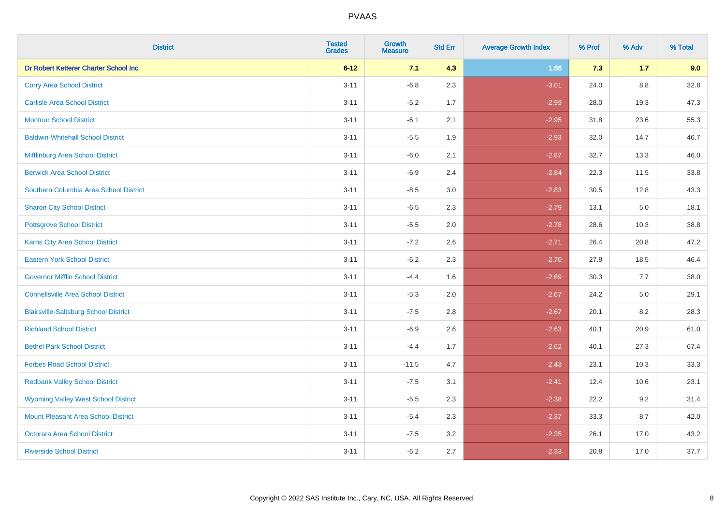| <b>District</b>                              | <b>Tested</b><br><b>Grades</b> | <b>Growth</b><br><b>Measure</b> | <b>Std Err</b> | <b>Average Growth Index</b> | % Prof | % Adv   | % Total |
|----------------------------------------------|--------------------------------|---------------------------------|----------------|-----------------------------|--------|---------|---------|
| Dr Robert Ketterer Charter School Inc        | $6 - 12$                       | 7.1                             | 4.3            | 1.66                        | 7.3    | $1.7$   | 9.0     |
| <b>Corry Area School District</b>            | $3 - 11$                       | $-6.8$                          | 2.3            | $-3.01$                     | 24.0   | $8.8\,$ | 32.8    |
| <b>Carlisle Area School District</b>         | $3 - 11$                       | $-5.2$                          | 1.7            | $-2.99$                     | 28.0   | 19.3    | 47.3    |
| <b>Montour School District</b>               | $3 - 11$                       | $-6.1$                          | 2.1            | $-2.95$                     | 31.8   | 23.6    | 55.3    |
| <b>Baldwin-Whitehall School District</b>     | $3 - 11$                       | $-5.5$                          | 1.9            | $-2.93$                     | 32.0   | 14.7    | 46.7    |
| Mifflinburg Area School District             | $3 - 11$                       | $-6.0$                          | 2.1            | $-2.87$                     | 32.7   | 13.3    | 46.0    |
| <b>Berwick Area School District</b>          | $3 - 11$                       | $-6.9$                          | 2.4            | $-2.84$                     | 22.3   | 11.5    | 33.8    |
| Southern Columbia Area School District       | $3 - 11$                       | $-8.5$                          | 3.0            | $-2.83$                     | 30.5   | 12.8    | 43.3    |
| <b>Sharon City School District</b>           | $3 - 11$                       | $-6.5$                          | 2.3            | $-2.79$                     | 13.1   | 5.0     | 18.1    |
| <b>Pottsgrove School District</b>            | $3 - 11$                       | $-5.5$                          | 2.0            | $-2.78$                     | 28.6   | 10.3    | 38.8    |
| <b>Karns City Area School District</b>       | $3 - 11$                       | $-7.2$                          | 2.6            | $-2.71$                     | 26.4   | 20.8    | 47.2    |
| <b>Eastern York School District</b>          | $3 - 11$                       | $-6.2$                          | 2.3            | $-2.70$                     | 27.8   | 18.5    | 46.4    |
| <b>Governor Mifflin School District</b>      | $3 - 11$                       | $-4.4$                          | 1.6            | $-2.69$                     | 30.3   | $7.7$   | 38.0    |
| <b>Connellsville Area School District</b>    | $3 - 11$                       | $-5.3$                          | 2.0            | $-2.67$                     | 24.2   | 5.0     | 29.1    |
| <b>Blairsville-Saltsburg School District</b> | $3 - 11$                       | $-7.5$                          | 2.8            | $-2.67$                     | 20.1   | 8.2     | 28.3    |
| <b>Richland School District</b>              | $3 - 11$                       | $-6.9$                          | 2.6            | $-2.63$                     | 40.1   | 20.9    | 61.0    |
| <b>Bethel Park School District</b>           | $3 - 11$                       | $-4.4$                          | 1.7            | $-2.62$                     | 40.1   | 27.3    | 67.4    |
| <b>Forbes Road School District</b>           | $3 - 11$                       | $-11.5$                         | 4.7            | $-2.43$                     | 23.1   | 10.3    | 33.3    |
| <b>Redbank Valley School District</b>        | $3 - 11$                       | $-7.5$                          | 3.1            | $-2.41$                     | 12.4   | 10.6    | 23.1    |
| <b>Wyoming Valley West School District</b>   | $3 - 11$                       | $-5.5$                          | 2.3            | $-2.38$                     | 22.2   | 9.2     | 31.4    |
| Mount Pleasant Area School District          | $3 - 11$                       | $-5.4$                          | 2.3            | $-2.37$                     | 33.3   | 8.7     | 42.0    |
| <b>Octorara Area School District</b>         | $3 - 11$                       | $-7.5$                          | 3.2            | $-2.35$                     | 26.1   | 17.0    | 43.2    |
| <b>Riverside School District</b>             | $3 - 11$                       | $-6.2$                          | 2.7            | $-2.33$                     | 20.8   | 17.0    | 37.7    |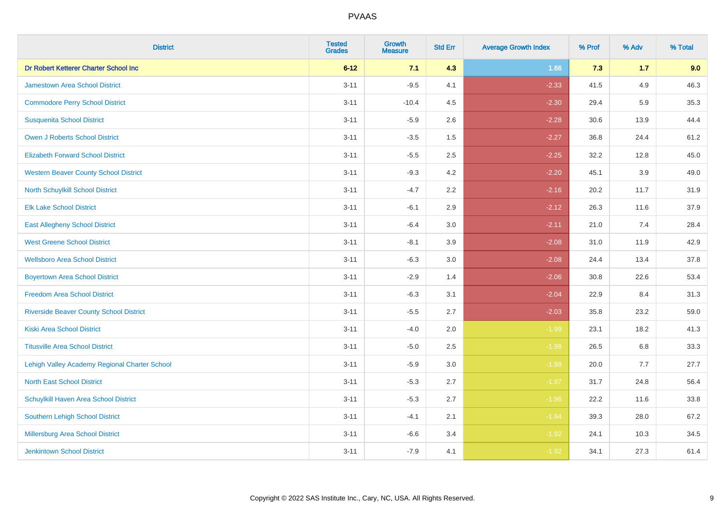| <b>District</b>                                | <b>Tested</b><br><b>Grades</b> | <b>Growth</b><br><b>Measure</b> | <b>Std Err</b> | <b>Average Growth Index</b> | % Prof | % Adv | % Total |
|------------------------------------------------|--------------------------------|---------------------------------|----------------|-----------------------------|--------|-------|---------|
| Dr Robert Ketterer Charter School Inc          | $6 - 12$                       | 7.1                             | 4.3            | 1.66                        | 7.3    | $1.7$ | 9.0     |
| <b>Jamestown Area School District</b>          | $3 - 11$                       | $-9.5$                          | 4.1            | $-2.33$                     | 41.5   | 4.9   | 46.3    |
| <b>Commodore Perry School District</b>         | $3 - 11$                       | $-10.4$                         | 4.5            | $-2.30$                     | 29.4   | 5.9   | 35.3    |
| <b>Susquenita School District</b>              | $3 - 11$                       | $-5.9$                          | 2.6            | $-2.28$                     | 30.6   | 13.9  | 44.4    |
| <b>Owen J Roberts School District</b>          | $3 - 11$                       | $-3.5$                          | 1.5            | $-2.27$                     | 36.8   | 24.4  | 61.2    |
| <b>Elizabeth Forward School District</b>       | $3 - 11$                       | $-5.5$                          | 2.5            | $-2.25$                     | 32.2   | 12.8  | 45.0    |
| <b>Western Beaver County School District</b>   | $3 - 11$                       | $-9.3$                          | 4.2            | $-2.20$                     | 45.1   | 3.9   | 49.0    |
| North Schuylkill School District               | $3 - 11$                       | $-4.7$                          | 2.2            | $-2.16$                     | 20.2   | 11.7  | 31.9    |
| <b>Elk Lake School District</b>                | $3 - 11$                       | $-6.1$                          | 2.9            | $-2.12$                     | 26.3   | 11.6  | 37.9    |
| <b>East Allegheny School District</b>          | $3 - 11$                       | $-6.4$                          | 3.0            | $-2.11$                     | 21.0   | 7.4   | 28.4    |
| <b>West Greene School District</b>             | $3 - 11$                       | $-8.1$                          | 3.9            | $-2.08$                     | 31.0   | 11.9  | 42.9    |
| <b>Wellsboro Area School District</b>          | $3 - 11$                       | $-6.3$                          | 3.0            | $-2.08$                     | 24.4   | 13.4  | 37.8    |
| <b>Boyertown Area School District</b>          | $3 - 11$                       | $-2.9$                          | 1.4            | $-2.06$                     | 30.8   | 22.6  | 53.4    |
| <b>Freedom Area School District</b>            | $3 - 11$                       | $-6.3$                          | 3.1            | $-2.04$                     | 22.9   | 8.4   | 31.3    |
| <b>Riverside Beaver County School District</b> | $3 - 11$                       | $-5.5$                          | 2.7            | $-2.03$                     | 35.8   | 23.2  | 59.0    |
| <b>Kiski Area School District</b>              | $3 - 11$                       | $-4.0$                          | 2.0            | $-1.99$                     | 23.1   | 18.2  | 41.3    |
| <b>Titusville Area School District</b>         | $3 - 11$                       | $-5.0$                          | 2.5            | $-1.98$                     | 26.5   | 6.8   | 33.3    |
| Lehigh Valley Academy Regional Charter School  | $3 - 11$                       | $-5.9$                          | 3.0            | $-1.98$                     | 20.0   | 7.7   | 27.7    |
| <b>North East School District</b>              | $3 - 11$                       | $-5.3$                          | 2.7            | $-1.97$                     | 31.7   | 24.8  | 56.4    |
| Schuylkill Haven Area School District          | $3 - 11$                       | $-5.3$                          | 2.7            | $-1.96$                     | 22.2   | 11.6  | 33.8    |
| Southern Lehigh School District                | $3 - 11$                       | $-4.1$                          | 2.1            | $-1.94$                     | 39.3   | 28.0  | 67.2    |
| Millersburg Area School District               | $3 - 11$                       | $-6.6$                          | 3.4            | $-1.92$                     | 24.1   | 10.3  | 34.5    |
| <b>Jenkintown School District</b>              | $3 - 11$                       | $-7.9$                          | 4.1            | $-1.92$                     | 34.1   | 27.3  | 61.4    |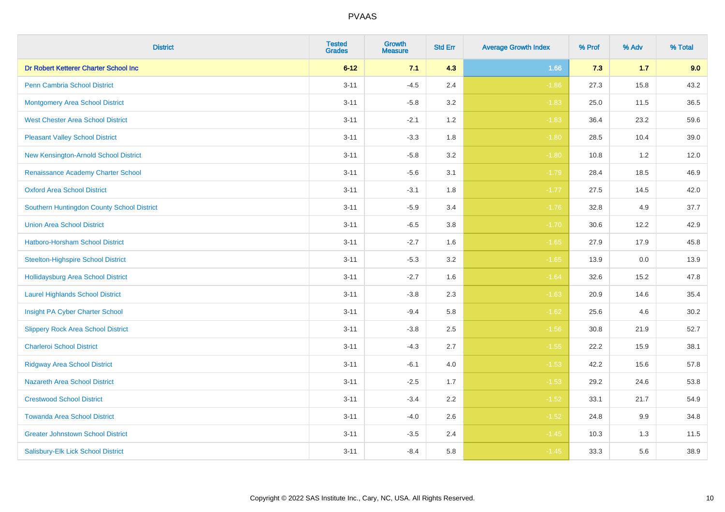| <b>District</b>                            | <b>Tested</b><br><b>Grades</b> | <b>Growth</b><br><b>Measure</b> | <b>Std Err</b> | <b>Average Growth Index</b> | % Prof | % Adv | % Total |
|--------------------------------------------|--------------------------------|---------------------------------|----------------|-----------------------------|--------|-------|---------|
| Dr Robert Ketterer Charter School Inc      | $6 - 12$                       | 7.1                             | 4.3            | 1.66                        | 7.3    | $1.7$ | 9.0     |
| <b>Penn Cambria School District</b>        | $3 - 11$                       | $-4.5$                          | 2.4            | $-1.86$                     | 27.3   | 15.8  | 43.2    |
| <b>Montgomery Area School District</b>     | $3 - 11$                       | $-5.8$                          | 3.2            | $-1.83$                     | 25.0   | 11.5  | 36.5    |
| <b>West Chester Area School District</b>   | $3 - 11$                       | $-2.1$                          | 1.2            | $-1.83$                     | 36.4   | 23.2  | 59.6    |
| <b>Pleasant Valley School District</b>     | $3 - 11$                       | $-3.3$                          | 1.8            | $-1.80$                     | 28.5   | 10.4  | 39.0    |
| New Kensington-Arnold School District      | $3 - 11$                       | $-5.8$                          | 3.2            | $-1.80$                     | 10.8   | 1.2   | 12.0    |
| Renaissance Academy Charter School         | $3 - 11$                       | $-5.6$                          | 3.1            | $-1.79$                     | 28.4   | 18.5  | 46.9    |
| <b>Oxford Area School District</b>         | $3 - 11$                       | $-3.1$                          | 1.8            | $-1.77$                     | 27.5   | 14.5  | 42.0    |
| Southern Huntingdon County School District | $3 - 11$                       | $-5.9$                          | 3.4            | $-1.76$                     | 32.8   | 4.9   | 37.7    |
| <b>Union Area School District</b>          | $3 - 11$                       | $-6.5$                          | 3.8            | $-1.70$                     | 30.6   | 12.2  | 42.9    |
| Hatboro-Horsham School District            | $3 - 11$                       | $-2.7$                          | 1.6            | $-1.65$                     | 27.9   | 17.9  | 45.8    |
| <b>Steelton-Highspire School District</b>  | $3 - 11$                       | $-5.3$                          | 3.2            | $-1.65$                     | 13.9   | 0.0   | 13.9    |
| Hollidaysburg Area School District         | $3 - 11$                       | $-2.7$                          | 1.6            | $-1.64$                     | 32.6   | 15.2  | 47.8    |
| <b>Laurel Highlands School District</b>    | $3 - 11$                       | $-3.8$                          | 2.3            | $-1.63$                     | 20.9   | 14.6  | 35.4    |
| Insight PA Cyber Charter School            | $3 - 11$                       | $-9.4$                          | 5.8            | $-1.62$                     | 25.6   | 4.6   | 30.2    |
| <b>Slippery Rock Area School District</b>  | $3 - 11$                       | $-3.8$                          | 2.5            | $-1.56$                     | 30.8   | 21.9  | 52.7    |
| <b>Charleroi School District</b>           | $3 - 11$                       | $-4.3$                          | 2.7            | $-1.55$                     | 22.2   | 15.9  | 38.1    |
| <b>Ridgway Area School District</b>        | $3 - 11$                       | $-6.1$                          | 4.0            | $-1.53$                     | 42.2   | 15.6  | 57.8    |
| <b>Nazareth Area School District</b>       | $3 - 11$                       | $-2.5$                          | 1.7            | $-1.53$                     | 29.2   | 24.6  | 53.8    |
| <b>Crestwood School District</b>           | $3 - 11$                       | $-3.4$                          | 2.2            | $-1.52$                     | 33.1   | 21.7  | 54.9    |
| <b>Towanda Area School District</b>        | $3 - 11$                       | $-4.0$                          | 2.6            | $-1.52$                     | 24.8   | 9.9   | 34.8    |
| <b>Greater Johnstown School District</b>   | $3 - 11$                       | $-3.5$                          | 2.4            | $-1.45$                     | 10.3   | 1.3   | 11.5    |
| Salisbury-Elk Lick School District         | $3 - 11$                       | $-8.4$                          | 5.8            | $-1.45$                     | 33.3   | 5.6   | 38.9    |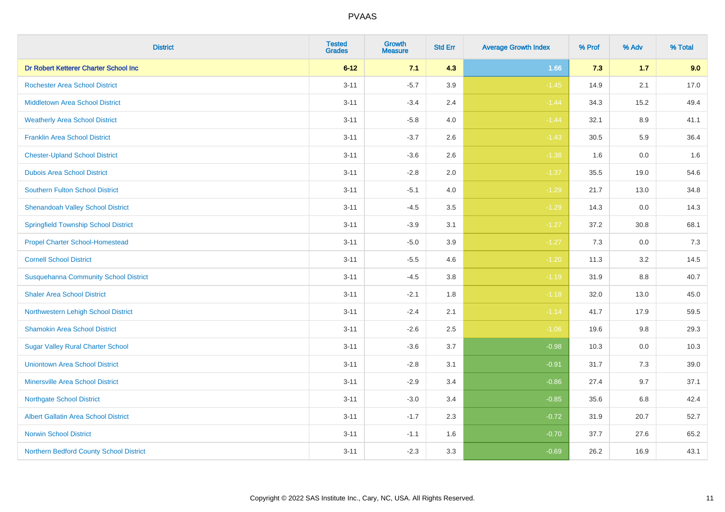| <b>District</b>                              | <b>Tested</b><br><b>Grades</b> | <b>Growth</b><br><b>Measure</b> | <b>Std Err</b> | <b>Average Growth Index</b> | % Prof | % Adv   | % Total |
|----------------------------------------------|--------------------------------|---------------------------------|----------------|-----------------------------|--------|---------|---------|
| Dr Robert Ketterer Charter School Inc        | $6 - 12$                       | 7.1                             | 4.3            | 1.66                        | 7.3    | $1.7$   | 9.0     |
| <b>Rochester Area School District</b>        | $3 - 11$                       | $-5.7$                          | 3.9            | $-1.45$                     | 14.9   | 2.1     | 17.0    |
| <b>Middletown Area School District</b>       | $3 - 11$                       | $-3.4$                          | 2.4            | $-1.44$                     | 34.3   | 15.2    | 49.4    |
| <b>Weatherly Area School District</b>        | $3 - 11$                       | $-5.8$                          | 4.0            | $-1.44$                     | 32.1   | 8.9     | 41.1    |
| <b>Franklin Area School District</b>         | $3 - 11$                       | $-3.7$                          | 2.6            | $-1.43$                     | 30.5   | 5.9     | 36.4    |
| <b>Chester-Upland School District</b>        | $3 - 11$                       | $-3.6$                          | 2.6            | $-1.38$                     | 1.6    | 0.0     | 1.6     |
| <b>Dubois Area School District</b>           | $3 - 11$                       | $-2.8$                          | 2.0            | $-1.37$                     | 35.5   | 19.0    | 54.6    |
| <b>Southern Fulton School District</b>       | $3 - 11$                       | $-5.1$                          | 4.0            | $-1.29$                     | 21.7   | 13.0    | 34.8    |
| <b>Shenandoah Valley School District</b>     | $3 - 11$                       | $-4.5$                          | 3.5            | $-1.29$                     | 14.3   | 0.0     | 14.3    |
| <b>Springfield Township School District</b>  | $3 - 11$                       | $-3.9$                          | 3.1            | $-1.27$                     | 37.2   | 30.8    | 68.1    |
| <b>Propel Charter School-Homestead</b>       | $3 - 11$                       | $-5.0$                          | 3.9            | $-1.27$                     | 7.3    | 0.0     | 7.3     |
| <b>Cornell School District</b>               | $3 - 11$                       | $-5.5$                          | 4.6            | $-1.20$                     | 11.3   | 3.2     | 14.5    |
| <b>Susquehanna Community School District</b> | $3 - 11$                       | $-4.5$                          | $3.8\,$        | $-1.19$                     | 31.9   | $8.8\,$ | 40.7    |
| <b>Shaler Area School District</b>           | $3 - 11$                       | $-2.1$                          | 1.8            | $-1.18$                     | 32.0   | 13.0    | 45.0    |
| Northwestern Lehigh School District          | $3 - 11$                       | $-2.4$                          | 2.1            | $-1.14$                     | 41.7   | 17.9    | 59.5    |
| <b>Shamokin Area School District</b>         | $3 - 11$                       | $-2.6$                          | 2.5            | $-1.06$                     | 19.6   | $9.8\,$ | 29.3    |
| <b>Sugar Valley Rural Charter School</b>     | $3 - 11$                       | $-3.6$                          | 3.7            | $-0.98$                     | 10.3   | 0.0     | 10.3    |
| <b>Uniontown Area School District</b>        | $3 - 11$                       | $-2.8$                          | 3.1            | $-0.91$                     | 31.7   | 7.3     | 39.0    |
| <b>Minersville Area School District</b>      | $3 - 11$                       | $-2.9$                          | 3.4            | $-0.86$                     | 27.4   | 9.7     | 37.1    |
| <b>Northgate School District</b>             | $3 - 11$                       | $-3.0$                          | 3.4            | $-0.85$                     | 35.6   | 6.8     | 42.4    |
| <b>Albert Gallatin Area School District</b>  | $3 - 11$                       | $-1.7$                          | 2.3            | $-0.72$                     | 31.9   | 20.7    | 52.7    |
| <b>Norwin School District</b>                | $3 - 11$                       | $-1.1$                          | 1.6            | $-0.70$                     | 37.7   | 27.6    | 65.2    |
| Northern Bedford County School District      | $3 - 11$                       | $-2.3$                          | 3.3            | $-0.69$                     | 26.2   | 16.9    | 43.1    |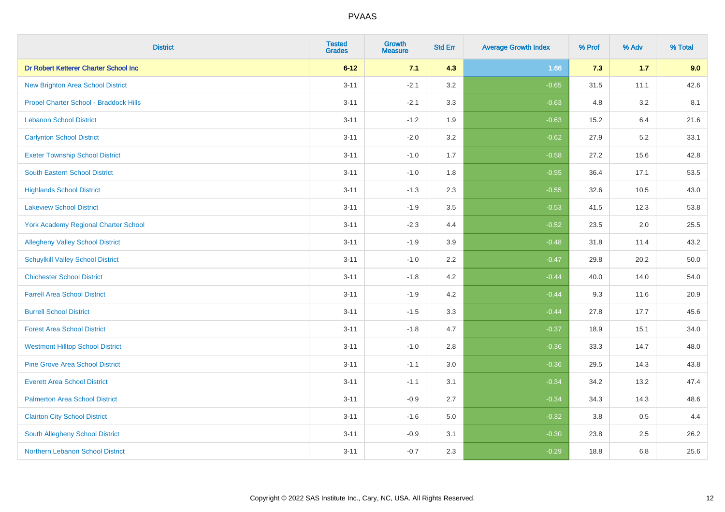| <b>District</b>                          | <b>Tested</b><br><b>Grades</b> | <b>Growth</b><br><b>Measure</b> | <b>Std Err</b> | <b>Average Growth Index</b> | % Prof | % Adv | % Total |
|------------------------------------------|--------------------------------|---------------------------------|----------------|-----------------------------|--------|-------|---------|
| Dr Robert Ketterer Charter School Inc    | $6 - 12$                       | 7.1                             | 4.3            | 1.66                        | 7.3    | $1.7$ | 9.0     |
| <b>New Brighton Area School District</b> | $3 - 11$                       | $-2.1$                          | 3.2            | $-0.65$                     | 31.5   | 11.1  | 42.6    |
| Propel Charter School - Braddock Hills   | $3 - 11$                       | $-2.1$                          | 3.3            | $-0.63$                     | 4.8    | 3.2   | 8.1     |
| <b>Lebanon School District</b>           | $3 - 11$                       | $-1.2$                          | 1.9            | $-0.63$                     | 15.2   | 6.4   | 21.6    |
| <b>Carlynton School District</b>         | $3 - 11$                       | $-2.0$                          | 3.2            | $-0.62$                     | 27.9   | 5.2   | 33.1    |
| <b>Exeter Township School District</b>   | $3 - 11$                       | $-1.0$                          | 1.7            | $-0.58$                     | 27.2   | 15.6  | 42.8    |
| <b>South Eastern School District</b>     | $3 - 11$                       | $-1.0$                          | 1.8            | $-0.55$                     | 36.4   | 17.1  | 53.5    |
| <b>Highlands School District</b>         | $3 - 11$                       | $-1.3$                          | 2.3            | $-0.55$                     | 32.6   | 10.5  | 43.0    |
| <b>Lakeview School District</b>          | $3 - 11$                       | $-1.9$                          | 3.5            | $-0.53$                     | 41.5   | 12.3  | 53.8    |
| York Academy Regional Charter School     | $3 - 11$                       | $-2.3$                          | 4.4            | $-0.52$                     | 23.5   | 2.0   | 25.5    |
| <b>Allegheny Valley School District</b>  | $3 - 11$                       | $-1.9$                          | 3.9            | $-0.48$                     | 31.8   | 11.4  | 43.2    |
| <b>Schuylkill Valley School District</b> | $3 - 11$                       | $-1.0$                          | 2.2            | $-0.47$                     | 29.8   | 20.2  | 50.0    |
| <b>Chichester School District</b>        | $3 - 11$                       | $-1.8$                          | 4.2            | $-0.44$                     | 40.0   | 14.0  | 54.0    |
| <b>Farrell Area School District</b>      | $3 - 11$                       | $-1.9$                          | 4.2            | $-0.44$                     | 9.3    | 11.6  | 20.9    |
| <b>Burrell School District</b>           | $3 - 11$                       | $-1.5$                          | 3.3            | $-0.44$                     | 27.8   | 17.7  | 45.6    |
| <b>Forest Area School District</b>       | $3 - 11$                       | $-1.8$                          | 4.7            | $-0.37$                     | 18.9   | 15.1  | 34.0    |
| <b>Westmont Hilltop School District</b>  | $3 - 11$                       | $-1.0$                          | 2.8            | $-0.36$                     | 33.3   | 14.7  | 48.0    |
| <b>Pine Grove Area School District</b>   | $3 - 11$                       | $-1.1$                          | 3.0            | $-0.36$                     | 29.5   | 14.3  | 43.8    |
| <b>Everett Area School District</b>      | $3 - 11$                       | $-1.1$                          | 3.1            | $-0.34$                     | 34.2   | 13.2  | 47.4    |
| <b>Palmerton Area School District</b>    | $3 - 11$                       | $-0.9$                          | 2.7            | $-0.34$                     | 34.3   | 14.3  | 48.6    |
| <b>Clairton City School District</b>     | $3 - 11$                       | $-1.6$                          | 5.0            | $-0.32$                     | 3.8    | 0.5   | 4.4     |
| South Allegheny School District          | $3 - 11$                       | $-0.9$                          | 3.1            | $-0.30$                     | 23.8   | 2.5   | 26.2    |
| Northern Lebanon School District         | $3 - 11$                       | $-0.7$                          | 2.3            | $-0.29$                     | 18.8   | 6.8   | 25.6    |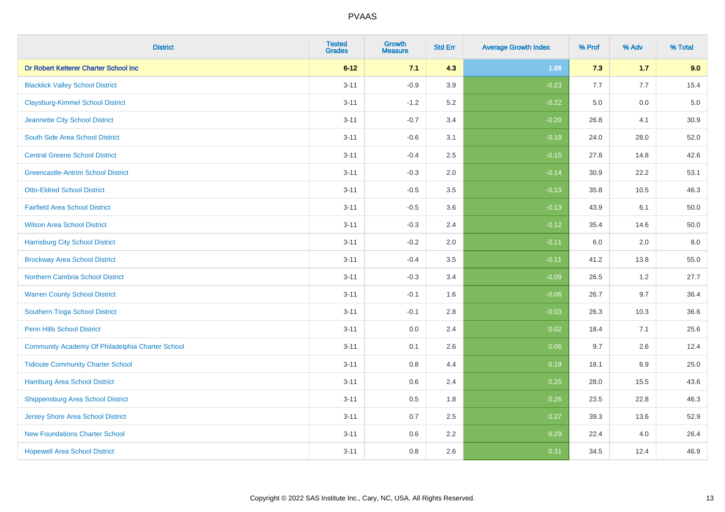| <b>District</b>                                  | <b>Tested</b><br><b>Grades</b> | <b>Growth</b><br><b>Measure</b> | <b>Std Err</b> | <b>Average Growth Index</b> | % Prof | % Adv | % Total  |
|--------------------------------------------------|--------------------------------|---------------------------------|----------------|-----------------------------|--------|-------|----------|
| Dr Robert Ketterer Charter School Inc            | $6 - 12$                       | 7.1                             | 4.3            | 1.66                        | 7.3    | $1.7$ | 9.0      |
| <b>Blacklick Valley School District</b>          | $3 - 11$                       | $-0.9$                          | 3.9            | $-0.23$                     | 7.7    | 7.7   | 15.4     |
| <b>Claysburg-Kimmel School District</b>          | $3 - 11$                       | $-1.2$                          | 5.2            | $-0.22$                     | 5.0    | 0.0   | $5.0\,$  |
| Jeannette City School District                   | $3 - 11$                       | $-0.7$                          | 3.4            | $-0.20$                     | 26.8   | 4.1   | 30.9     |
| South Side Area School District                  | $3 - 11$                       | $-0.6$                          | 3.1            | $-0.19$                     | 24.0   | 28.0  | 52.0     |
| <b>Central Greene School District</b>            | $3 - 11$                       | $-0.4$                          | 2.5            | $-0.15$                     | 27.8   | 14.8  | 42.6     |
| <b>Greencastle-Antrim School District</b>        | $3 - 11$                       | $-0.3$                          | 2.0            | $-0.14$                     | 30.9   | 22.2  | 53.1     |
| <b>Otto-Eldred School District</b>               | $3 - 11$                       | $-0.5$                          | 3.5            | $-0.13$                     | 35.8   | 10.5  | 46.3     |
| <b>Fairfield Area School District</b>            | $3 - 11$                       | $-0.5$                          | 3.6            | $-0.13$                     | 43.9   | 6.1   | 50.0     |
| <b>Wilson Area School District</b>               | $3 - 11$                       | $-0.3$                          | 2.4            | $-0.12$                     | 35.4   | 14.6  | $50.0\,$ |
| <b>Harrisburg City School District</b>           | $3 - 11$                       | $-0.2$                          | 2.0            | $-0.11$                     | 6.0    | 2.0   | 8.0      |
| <b>Brockway Area School District</b>             | $3 - 11$                       | $-0.4$                          | 3.5            | $-0.11$                     | 41.2   | 13.8  | 55.0     |
| Northern Cambria School District                 | $3 - 11$                       | $-0.3$                          | 3.4            | $-0.09$                     | 26.5   | $1.2$ | 27.7     |
| <b>Warren County School District</b>             | $3 - 11$                       | $-0.1$                          | 1.6            | $-0.06$                     | 26.7   | 9.7   | 36.4     |
| <b>Southern Tioga School District</b>            | $3 - 11$                       | $-0.1$                          | 2.8            | $-0.03$                     | 26.3   | 10.3  | 36.6     |
| <b>Penn Hills School District</b>                | $3 - 11$                       | 0.0                             | 2.4            | 0.02                        | 18.4   | 7.1   | 25.6     |
| Community Academy Of Philadelphia Charter School | $3 - 11$                       | 0.1                             | 2.6            | 0.06                        | 9.7    | 2.6   | 12.4     |
| <b>Tidioute Community Charter School</b>         | $3 - 11$                       | 0.8                             | 4.4            | 0.19                        | 18.1   | 6.9   | 25.0     |
| <b>Hamburg Area School District</b>              | $3 - 11$                       | 0.6                             | 2.4            | 0.25                        | 28.0   | 15.5  | 43.6     |
| <b>Shippensburg Area School District</b>         | $3 - 11$                       | 0.5                             | 1.8            | 0.26                        | 23.5   | 22.8  | 46.3     |
| <b>Jersey Shore Area School District</b>         | $3 - 11$                       | 0.7                             | 2.5            | 0.27                        | 39.3   | 13.6  | 52.9     |
| <b>New Foundations Charter School</b>            | $3 - 11$                       | 0.6                             | 2.2            | 0.29                        | 22.4   | 4.0   | 26.4     |
| <b>Hopewell Area School District</b>             | $3 - 11$                       | 0.8                             | 2.6            | 0.31                        | 34.5   | 12.4  | 46.9     |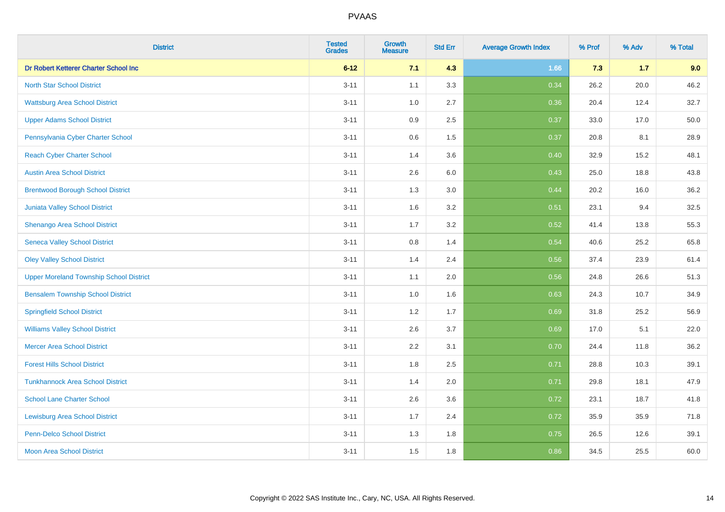| <b>District</b>                                | <b>Tested</b><br><b>Grades</b> | <b>Growth</b><br><b>Measure</b> | <b>Std Err</b> | <b>Average Growth Index</b> | % Prof | % Adv | % Total |
|------------------------------------------------|--------------------------------|---------------------------------|----------------|-----------------------------|--------|-------|---------|
| Dr Robert Ketterer Charter School Inc          | $6 - 12$                       | 7.1                             | 4.3            | 1.66                        | 7.3    | $1.7$ | 9.0     |
| <b>North Star School District</b>              | $3 - 11$                       | 1.1                             | 3.3            | 0.34                        | 26.2   | 20.0  | 46.2    |
| <b>Wattsburg Area School District</b>          | $3 - 11$                       | 1.0                             | 2.7            | 0.36                        | 20.4   | 12.4  | 32.7    |
| <b>Upper Adams School District</b>             | $3 - 11$                       | $0.9\,$                         | 2.5            | 0.37                        | 33.0   | 17.0  | 50.0    |
| Pennsylvania Cyber Charter School              | $3 - 11$                       | 0.6                             | 1.5            | 0.37                        | 20.8   | 8.1   | 28.9    |
| <b>Reach Cyber Charter School</b>              | $3 - 11$                       | 1.4                             | 3.6            | 0.40                        | 32.9   | 15.2  | 48.1    |
| <b>Austin Area School District</b>             | $3 - 11$                       | 2.6                             | 6.0            | 0.43                        | 25.0   | 18.8  | 43.8    |
| <b>Brentwood Borough School District</b>       | $3 - 11$                       | 1.3                             | 3.0            | 0.44                        | 20.2   | 16.0  | 36.2    |
| <b>Juniata Valley School District</b>          | $3 - 11$                       | 1.6                             | 3.2            | 0.51                        | 23.1   | 9.4   | 32.5    |
| Shenango Area School District                  | $3 - 11$                       | 1.7                             | 3.2            | 0.52                        | 41.4   | 13.8  | 55.3    |
| <b>Seneca Valley School District</b>           | $3 - 11$                       | 0.8                             | 1.4            | 0.54                        | 40.6   | 25.2  | 65.8    |
| <b>Oley Valley School District</b>             | $3 - 11$                       | 1.4                             | 2.4            | 0.56                        | 37.4   | 23.9  | 61.4    |
| <b>Upper Moreland Township School District</b> | $3 - 11$                       | 1.1                             | 2.0            | 0.56                        | 24.8   | 26.6  | 51.3    |
| <b>Bensalem Township School District</b>       | $3 - 11$                       | 1.0                             | 1.6            | 0.63                        | 24.3   | 10.7  | 34.9    |
| <b>Springfield School District</b>             | $3 - 11$                       | 1.2                             | 1.7            | 0.69                        | 31.8   | 25.2  | 56.9    |
| <b>Williams Valley School District</b>         | $3 - 11$                       | 2.6                             | 3.7            | 0.69                        | 17.0   | 5.1   | 22.0    |
| <b>Mercer Area School District</b>             | $3 - 11$                       | 2.2                             | 3.1            | 0.70                        | 24.4   | 11.8  | 36.2    |
| <b>Forest Hills School District</b>            | $3 - 11$                       | 1.8                             | 2.5            | 0.71                        | 28.8   | 10.3  | 39.1    |
| <b>Tunkhannock Area School District</b>        | $3 - 11$                       | 1.4                             | 2.0            | 0.71                        | 29.8   | 18.1  | 47.9    |
| <b>School Lane Charter School</b>              | $3 - 11$                       | 2.6                             | 3.6            | 0.72                        | 23.1   | 18.7  | 41.8    |
| <b>Lewisburg Area School District</b>          | $3 - 11$                       | 1.7                             | 2.4            | 0.72                        | 35.9   | 35.9  | 71.8    |
| Penn-Delco School District                     | $3 - 11$                       | 1.3                             | 1.8            | 0.75                        | 26.5   | 12.6  | 39.1    |
| <b>Moon Area School District</b>               | $3 - 11$                       | 1.5                             | 1.8            | 0.86                        | 34.5   | 25.5  | 60.0    |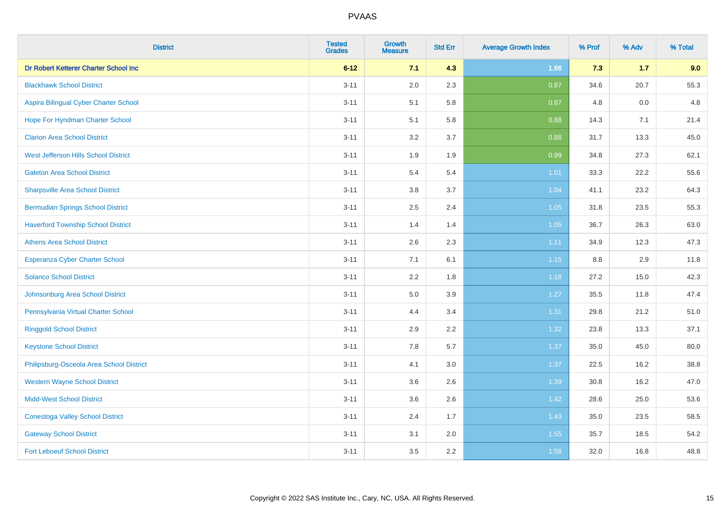| <b>District</b>                           | <b>Tested</b><br><b>Grades</b> | <b>Growth</b><br><b>Measure</b> | <b>Std Err</b> | <b>Average Growth Index</b> | % Prof | % Adv | % Total |
|-------------------------------------------|--------------------------------|---------------------------------|----------------|-----------------------------|--------|-------|---------|
| Dr Robert Ketterer Charter School Inc     | $6 - 12$                       | 7.1                             | 4.3            | 1.66                        | 7.3    | 1.7   | 9.0     |
| <b>Blackhawk School District</b>          | $3 - 11$                       | 2.0                             | 2.3            | 0.87                        | 34.6   | 20.7  | 55.3    |
| Aspira Bilingual Cyber Charter School     | $3 - 11$                       | 5.1                             | 5.8            | 0.87                        | 4.8    | 0.0   | 4.8     |
| Hope For Hyndman Charter School           | $3 - 11$                       | 5.1                             | 5.8            | 0.88                        | 14.3   | 7.1   | 21.4    |
| <b>Clarion Area School District</b>       | $3 - 11$                       | 3.2                             | 3.7            | 0.88                        | 31.7   | 13.3  | 45.0    |
| West Jefferson Hills School District      | $3 - 11$                       | 1.9                             | 1.9            | 0.99                        | 34.8   | 27.3  | 62.1    |
| <b>Galeton Area School District</b>       | $3 - 11$                       | 5.4                             | 5.4            | $1.01$                      | 33.3   | 22.2  | 55.6    |
| <b>Sharpsville Area School District</b>   | $3 - 11$                       | 3.8                             | 3.7            | 1.04                        | 41.1   | 23.2  | 64.3    |
| <b>Bermudian Springs School District</b>  | $3 - 11$                       | 2.5                             | 2.4            | 1.05                        | 31.8   | 23.5  | 55.3    |
| <b>Haverford Township School District</b> | $3 - 11$                       | 1.4                             | 1.4            | 1.05                        | 36.7   | 26.3  | 63.0    |
| <b>Athens Area School District</b>        | $3 - 11$                       | 2.6                             | 2.3            | 1.11                        | 34.9   | 12.3  | 47.3    |
| Esperanza Cyber Charter School            | $3 - 11$                       | 7.1                             | 6.1            | 1.15                        | 8.8    | 2.9   | 11.8    |
| <b>Solanco School District</b>            | $3 - 11$                       | 2.2                             | 1.8            | 1.18                        | 27.2   | 15.0  | 42.3    |
| Johnsonburg Area School District          | $3 - 11$                       | 5.0                             | 3.9            | 1.27                        | 35.5   | 11.8  | 47.4    |
| Pennsylvania Virtual Charter School       | $3 - 11$                       | 4.4                             | 3.4            | 1.31                        | 29.8   | 21.2  | 51.0    |
| <b>Ringgold School District</b>           | $3 - 11$                       | 2.9                             | 2.2            | 1.32                        | 23.8   | 13.3  | 37.1    |
| <b>Keystone School District</b>           | $3 - 11$                       | 7.8                             | 5.7            | 1.37                        | 35.0   | 45.0  | 80.0    |
| Philipsburg-Osceola Area School District  | $3 - 11$                       | 4.1                             | 3.0            | 1.37                        | 22.5   | 16.2  | 38.8    |
| <b>Western Wayne School District</b>      | $3 - 11$                       | 3.6                             | 2.6            | 1.39                        | 30.8   | 16.2  | 47.0    |
| <b>Midd-West School District</b>          | $3 - 11$                       | 3.6                             | 2.6            | 1.42                        | 28.6   | 25.0  | 53.6    |
| <b>Conestoga Valley School District</b>   | $3 - 11$                       | 2.4                             | 1.7            | 1.43                        | 35.0   | 23.5  | 58.5    |
| <b>Gateway School District</b>            | $3 - 11$                       | 3.1                             | 2.0            | 1.55                        | 35.7   | 18.5  | 54.2    |
| <b>Fort Leboeuf School District</b>       | $3 - 11$                       | 3.5                             | 2.2            | 1.58                        | 32.0   | 16.8  | 48.8    |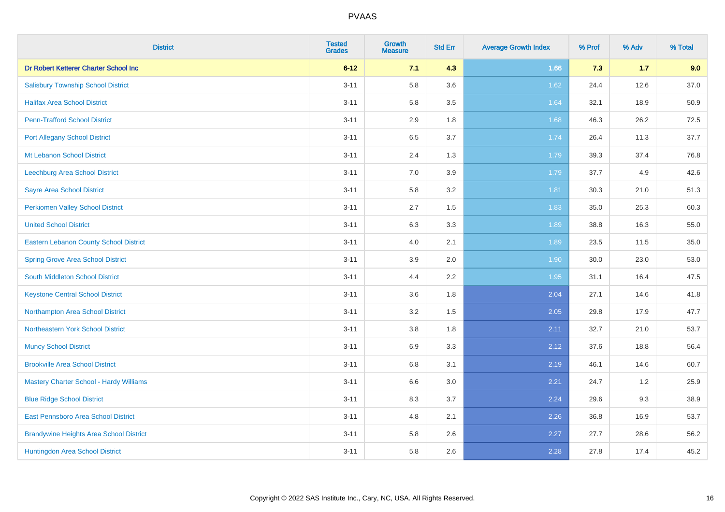| <b>District</b>                                | <b>Tested</b><br><b>Grades</b> | <b>Growth</b><br><b>Measure</b> | <b>Std Err</b> | <b>Average Growth Index</b> | % Prof | % Adv | % Total |
|------------------------------------------------|--------------------------------|---------------------------------|----------------|-----------------------------|--------|-------|---------|
| Dr Robert Ketterer Charter School Inc          | $6 - 12$                       | 7.1                             | 4.3            | 1.66                        | 7.3    | $1.7$ | 9.0     |
| <b>Salisbury Township School District</b>      | $3 - 11$                       | 5.8                             | 3.6            | 1.62                        | 24.4   | 12.6  | 37.0    |
| <b>Halifax Area School District</b>            | $3 - 11$                       | 5.8                             | 3.5            | 1.64                        | 32.1   | 18.9  | 50.9    |
| <b>Penn-Trafford School District</b>           | $3 - 11$                       | 2.9                             | 1.8            | 1.68                        | 46.3   | 26.2  | 72.5    |
| <b>Port Allegany School District</b>           | $3 - 11$                       | 6.5                             | 3.7            | 1.74                        | 26.4   | 11.3  | 37.7    |
| Mt Lebanon School District                     | $3 - 11$                       | 2.4                             | 1.3            | 1.79                        | 39.3   | 37.4  | 76.8    |
| Leechburg Area School District                 | $3 - 11$                       | 7.0                             | 3.9            | 1.79                        | 37.7   | 4.9   | 42.6    |
| <b>Sayre Area School District</b>              | $3 - 11$                       | 5.8                             | 3.2            | 1.81                        | 30.3   | 21.0  | 51.3    |
| <b>Perkiomen Valley School District</b>        | $3 - 11$                       | 2.7                             | 1.5            | 1.83                        | 35.0   | 25.3  | 60.3    |
| <b>United School District</b>                  | $3 - 11$                       | 6.3                             | 3.3            | 1.89                        | 38.8   | 16.3  | 55.0    |
| Eastern Lebanon County School District         | $3 - 11$                       | 4.0                             | 2.1            | 1.89                        | 23.5   | 11.5  | 35.0    |
| <b>Spring Grove Area School District</b>       | $3 - 11$                       | 3.9                             | 2.0            | 1.90                        | 30.0   | 23.0  | 53.0    |
| South Middleton School District                | $3 - 11$                       | 4.4                             | 2.2            | 1.95                        | 31.1   | 16.4  | 47.5    |
| <b>Keystone Central School District</b>        | $3 - 11$                       | 3.6                             | 1.8            | 2.04                        | 27.1   | 14.6  | 41.8    |
| Northampton Area School District               | $3 - 11$                       | 3.2                             | 1.5            | 2.05                        | 29.8   | 17.9  | 47.7    |
| Northeastern York School District              | $3 - 11$                       | 3.8                             | 1.8            | 2.11                        | 32.7   | 21.0  | 53.7    |
| <b>Muncy School District</b>                   | $3 - 11$                       | 6.9                             | 3.3            | 2.12                        | 37.6   | 18.8  | 56.4    |
| <b>Brookville Area School District</b>         | $3 - 11$                       | 6.8                             | 3.1            | 2.19                        | 46.1   | 14.6  | 60.7    |
| Mastery Charter School - Hardy Williams        | $3 - 11$                       | 6.6                             | 3.0            | 2.21                        | 24.7   | 1.2   | 25.9    |
| <b>Blue Ridge School District</b>              | $3 - 11$                       | 8.3                             | 3.7            | 2.24                        | 29.6   | 9.3   | 38.9    |
| East Pennsboro Area School District            | $3 - 11$                       | 4.8                             | 2.1            | 2.26                        | 36.8   | 16.9  | 53.7    |
| <b>Brandywine Heights Area School District</b> | $3 - 11$                       | 5.8                             | 2.6            | 2.27                        | 27.7   | 28.6  | 56.2    |
| Huntingdon Area School District                | $3 - 11$                       | 5.8                             | 2.6            | 2.28                        | 27.8   | 17.4  | 45.2    |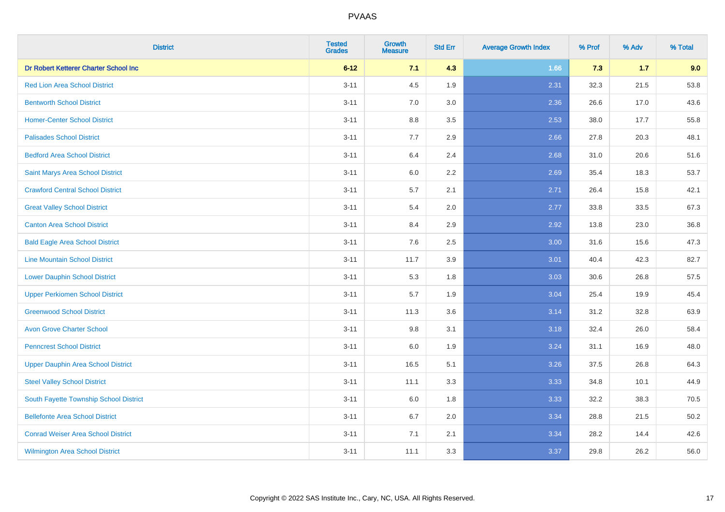| <b>District</b>                           | <b>Tested</b><br><b>Grades</b> | <b>Growth</b><br><b>Measure</b> | <b>Std Err</b> | <b>Average Growth Index</b> | % Prof | % Adv | % Total |
|-------------------------------------------|--------------------------------|---------------------------------|----------------|-----------------------------|--------|-------|---------|
| Dr Robert Ketterer Charter School Inc     | $6 - 12$                       | 7.1                             | 4.3            | 1.66                        | 7.3    | $1.7$ | 9.0     |
| <b>Red Lion Area School District</b>      | $3 - 11$                       | 4.5                             | 1.9            | 2.31                        | 32.3   | 21.5  | 53.8    |
| <b>Bentworth School District</b>          | $3 - 11$                       | 7.0                             | 3.0            | 2.36                        | 26.6   | 17.0  | 43.6    |
| <b>Homer-Center School District</b>       | $3 - 11$                       | 8.8                             | 3.5            | 2.53                        | 38.0   | 17.7  | 55.8    |
| <b>Palisades School District</b>          | $3 - 11$                       | 7.7                             | 2.9            | 2.66                        | 27.8   | 20.3  | 48.1    |
| <b>Bedford Area School District</b>       | $3 - 11$                       | 6.4                             | 2.4            | 2.68                        | 31.0   | 20.6  | 51.6    |
| Saint Marys Area School District          | $3 - 11$                       | 6.0                             | 2.2            | 2.69                        | 35.4   | 18.3  | 53.7    |
| <b>Crawford Central School District</b>   | $3 - 11$                       | 5.7                             | 2.1            | 2.71                        | 26.4   | 15.8  | 42.1    |
| <b>Great Valley School District</b>       | $3 - 11$                       | 5.4                             | 2.0            | 2.77                        | 33.8   | 33.5  | 67.3    |
| <b>Canton Area School District</b>        | $3 - 11$                       | 8.4                             | 2.9            | 2.92                        | 13.8   | 23.0  | 36.8    |
| <b>Bald Eagle Area School District</b>    | $3 - 11$                       | 7.6                             | 2.5            | 3.00                        | 31.6   | 15.6  | 47.3    |
| <b>Line Mountain School District</b>      | $3 - 11$                       | 11.7                            | 3.9            | 3.01                        | 40.4   | 42.3  | 82.7    |
| <b>Lower Dauphin School District</b>      | $3 - 11$                       | 5.3                             | 1.8            | 3.03                        | 30.6   | 26.8  | 57.5    |
| <b>Upper Perkiomen School District</b>    | $3 - 11$                       | 5.7                             | 1.9            | 3.04                        | 25.4   | 19.9  | 45.4    |
| <b>Greenwood School District</b>          | $3 - 11$                       | 11.3                            | 3.6            | 3.14                        | 31.2   | 32.8  | 63.9    |
| <b>Avon Grove Charter School</b>          | $3 - 11$                       | $9.8\,$                         | 3.1            | 3.18                        | 32.4   | 26.0  | 58.4    |
| <b>Penncrest School District</b>          | $3 - 11$                       | 6.0                             | 1.9            | 3.24                        | 31.1   | 16.9  | 48.0    |
| <b>Upper Dauphin Area School District</b> | $3 - 11$                       | 16.5                            | 5.1            | 3.26                        | 37.5   | 26.8  | 64.3    |
| <b>Steel Valley School District</b>       | $3 - 11$                       | 11.1                            | 3.3            | 3.33                        | 34.8   | 10.1  | 44.9    |
| South Fayette Township School District    | $3 - 11$                       | 6.0                             | 1.8            | 3.33                        | 32.2   | 38.3  | 70.5    |
| <b>Bellefonte Area School District</b>    | $3 - 11$                       | 6.7                             | 2.0            | 3.34                        | 28.8   | 21.5  | 50.2    |
| <b>Conrad Weiser Area School District</b> | $3 - 11$                       | 7.1                             | 2.1            | 3.34                        | 28.2   | 14.4  | 42.6    |
| <b>Wilmington Area School District</b>    | $3 - 11$                       | 11.1                            | 3.3            | 3.37                        | 29.8   | 26.2  | 56.0    |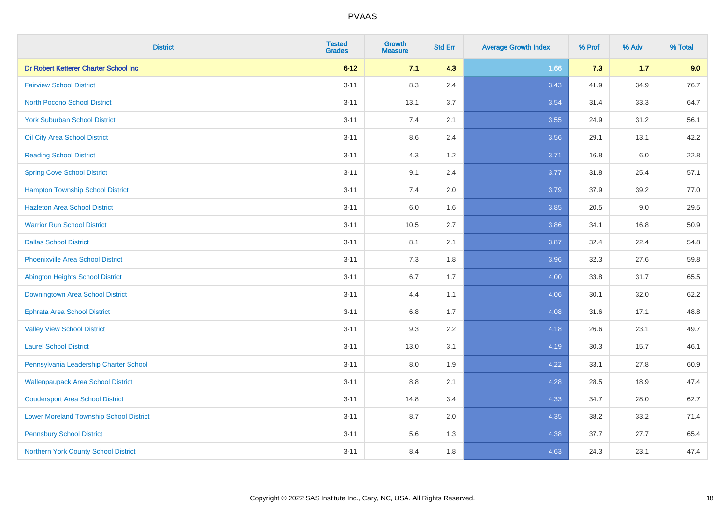| <b>District</b>                                | <b>Tested</b><br><b>Grades</b> | Growth<br><b>Measure</b> | <b>Std Err</b> | <b>Average Growth Index</b> | % Prof | % Adv   | % Total |
|------------------------------------------------|--------------------------------|--------------------------|----------------|-----------------------------|--------|---------|---------|
| Dr Robert Ketterer Charter School Inc          | $6 - 12$                       | 7.1                      | 4.3            | 1.66                        | 7.3    | $1.7$   | 9.0     |
| <b>Fairview School District</b>                | $3 - 11$                       | 8.3                      | 2.4            | 3.43                        | 41.9   | 34.9    | 76.7    |
| <b>North Pocono School District</b>            | $3 - 11$                       | 13.1                     | 3.7            | 3.54                        | 31.4   | 33.3    | 64.7    |
| <b>York Suburban School District</b>           | $3 - 11$                       | 7.4                      | 2.1            | 3.55                        | 24.9   | 31.2    | 56.1    |
| Oil City Area School District                  | $3 - 11$                       | 8.6                      | 2.4            | 3.56                        | 29.1   | 13.1    | 42.2    |
| <b>Reading School District</b>                 | $3 - 11$                       | 4.3                      | 1.2            | 3.71                        | 16.8   | $6.0\,$ | 22.8    |
| <b>Spring Cove School District</b>             | $3 - 11$                       | 9.1                      | 2.4            | 3.77                        | 31.8   | 25.4    | 57.1    |
| <b>Hampton Township School District</b>        | $3 - 11$                       | 7.4                      | 2.0            | 3.79                        | 37.9   | 39.2    | 77.0    |
| <b>Hazleton Area School District</b>           | $3 - 11$                       | 6.0                      | 1.6            | 3.85                        | 20.5   | 9.0     | 29.5    |
| <b>Warrior Run School District</b>             | $3 - 11$                       | 10.5                     | 2.7            | 3.86                        | 34.1   | 16.8    | 50.9    |
| <b>Dallas School District</b>                  | $3 - 11$                       | 8.1                      | 2.1            | 3.87                        | 32.4   | 22.4    | 54.8    |
| <b>Phoenixville Area School District</b>       | $3 - 11$                       | 7.3                      | 1.8            | 3.96                        | 32.3   | 27.6    | 59.8    |
| Abington Heights School District               | $3 - 11$                       | 6.7                      | 1.7            | 4.00                        | 33.8   | 31.7    | 65.5    |
| Downingtown Area School District               | $3 - 11$                       | 4.4                      | 1.1            | 4.06                        | 30.1   | 32.0    | 62.2    |
| <b>Ephrata Area School District</b>            | $3 - 11$                       | 6.8                      | 1.7            | 4.08                        | 31.6   | 17.1    | 48.8    |
| <b>Valley View School District</b>             | $3 - 11$                       | 9.3                      | 2.2            | 4.18                        | 26.6   | 23.1    | 49.7    |
| <b>Laurel School District</b>                  | $3 - 11$                       | 13.0                     | 3.1            | 4.19                        | 30.3   | 15.7    | 46.1    |
| Pennsylvania Leadership Charter School         | $3 - 11$                       | 8.0                      | 1.9            | 4.22                        | 33.1   | 27.8    | 60.9    |
| <b>Wallenpaupack Area School District</b>      | $3 - 11$                       | 8.8                      | 2.1            | 4.28                        | 28.5   | 18.9    | 47.4    |
| <b>Coudersport Area School District</b>        | $3 - 11$                       | 14.8                     | 3.4            | 4.33                        | 34.7   | 28.0    | 62.7    |
| <b>Lower Moreland Township School District</b> | $3 - 11$                       | 8.7                      | 2.0            | 4.35                        | 38.2   | 33.2    | 71.4    |
| <b>Pennsbury School District</b>               | $3 - 11$                       | 5.6                      | 1.3            | 4.38                        | 37.7   | 27.7    | 65.4    |
| Northern York County School District           | $3 - 11$                       | 8.4                      | 1.8            | 4.63                        | 24.3   | 23.1    | 47.4    |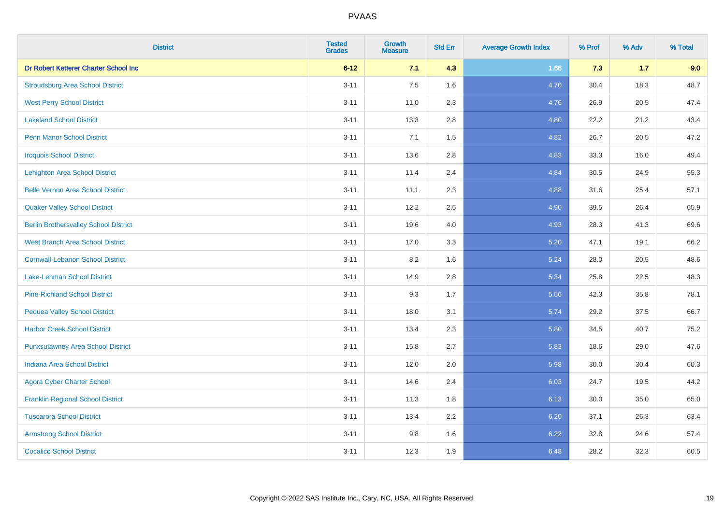| <b>District</b>                              | <b>Tested</b><br><b>Grades</b> | <b>Growth</b><br><b>Measure</b> | <b>Std Err</b> | <b>Average Growth Index</b> | % Prof | % Adv | % Total |
|----------------------------------------------|--------------------------------|---------------------------------|----------------|-----------------------------|--------|-------|---------|
| Dr Robert Ketterer Charter School Inc        | $6 - 12$                       | 7.1                             | 4.3            | 1.66                        | 7.3    | $1.7$ | 9.0     |
| <b>Stroudsburg Area School District</b>      | $3 - 11$                       | 7.5                             | 1.6            | 4.70                        | 30.4   | 18.3  | 48.7    |
| <b>West Perry School District</b>            | $3 - 11$                       | 11.0                            | 2.3            | 4.76                        | 26.9   | 20.5  | 47.4    |
| <b>Lakeland School District</b>              | $3 - 11$                       | 13.3                            | 2.8            | 4.80                        | 22.2   | 21.2  | 43.4    |
| <b>Penn Manor School District</b>            | $3 - 11$                       | 7.1                             | 1.5            | 4.82                        | 26.7   | 20.5  | 47.2    |
| <b>Iroquois School District</b>              | $3 - 11$                       | 13.6                            | 2.8            | 4.83                        | 33.3   | 16.0  | 49.4    |
| <b>Lehighton Area School District</b>        | $3 - 11$                       | 11.4                            | 2.4            | 4.84                        | 30.5   | 24.9  | 55.3    |
| <b>Belle Vernon Area School District</b>     | $3 - 11$                       | 11.1                            | 2.3            | 4.88                        | 31.6   | 25.4  | 57.1    |
| <b>Quaker Valley School District</b>         | $3 - 11$                       | 12.2                            | 2.5            | 4.90                        | 39.5   | 26.4  | 65.9    |
| <b>Berlin Brothersvalley School District</b> | $3 - 11$                       | 19.6                            | 4.0            | 4.93                        | 28.3   | 41.3  | 69.6    |
| <b>West Branch Area School District</b>      | $3 - 11$                       | 17.0                            | 3.3            | 5.20                        | 47.1   | 19.1  | 66.2    |
| <b>Cornwall-Lebanon School District</b>      | $3 - 11$                       | 8.2                             | 1.6            | 5.24                        | 28.0   | 20.5  | 48.6    |
| Lake-Lehman School District                  | $3 - 11$                       | 14.9                            | 2.8            | 5.34                        | 25.8   | 22.5  | 48.3    |
| <b>Pine-Richland School District</b>         | $3 - 11$                       | 9.3                             | 1.7            | 5.56                        | 42.3   | 35.8  | 78.1    |
| <b>Pequea Valley School District</b>         | $3 - 11$                       | 18.0                            | 3.1            | 5.74                        | 29.2   | 37.5  | 66.7    |
| <b>Harbor Creek School District</b>          | $3 - 11$                       | 13.4                            | 2.3            | 5.80                        | 34.5   | 40.7  | 75.2    |
| <b>Punxsutawney Area School District</b>     | $3 - 11$                       | 15.8                            | 2.7            | 5.83                        | 18.6   | 29.0  | 47.6    |
| <b>Indiana Area School District</b>          | $3 - 11$                       | 12.0                            | 2.0            | 5.98                        | 30.0   | 30.4  | 60.3    |
| <b>Agora Cyber Charter School</b>            | $3 - 11$                       | 14.6                            | 2.4            | 6.03                        | 24.7   | 19.5  | 44.2    |
| <b>Franklin Regional School District</b>     | $3 - 11$                       | 11.3                            | 1.8            | 6.13                        | 30.0   | 35.0  | 65.0    |
| <b>Tuscarora School District</b>             | $3 - 11$                       | 13.4                            | 2.2            | 6.20                        | 37.1   | 26.3  | 63.4    |
| <b>Armstrong School District</b>             | $3 - 11$                       | 9.8                             | 1.6            | 6.22                        | 32.8   | 24.6  | 57.4    |
| <b>Cocalico School District</b>              | $3 - 11$                       | 12.3                            | 1.9            | 6.48                        | 28.2   | 32.3  | 60.5    |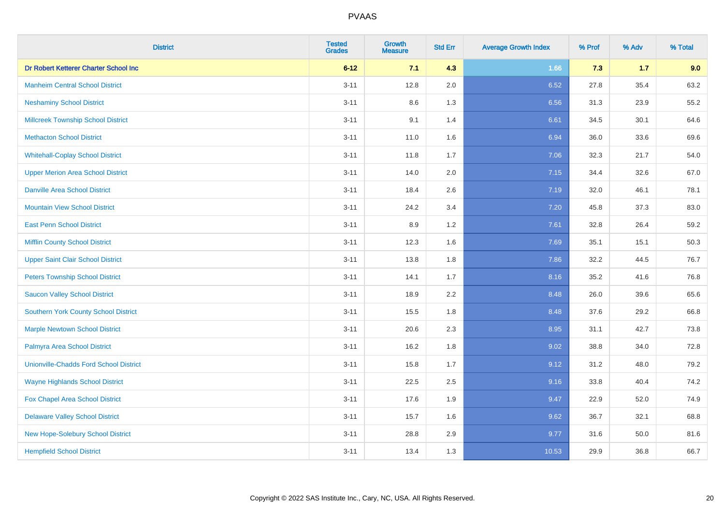| <b>District</b>                               | <b>Tested</b><br><b>Grades</b> | <b>Growth</b><br><b>Measure</b> | <b>Std Err</b> | <b>Average Growth Index</b> | % Prof | % Adv | % Total |
|-----------------------------------------------|--------------------------------|---------------------------------|----------------|-----------------------------|--------|-------|---------|
| Dr Robert Ketterer Charter School Inc         | $6 - 12$                       | 7.1                             | 4.3            | 1.66                        | 7.3    | $1.7$ | 9.0     |
| <b>Manheim Central School District</b>        | $3 - 11$                       | 12.8                            | 2.0            | 6.52                        | 27.8   | 35.4  | 63.2    |
| <b>Neshaminy School District</b>              | $3 - 11$                       | $8.6\,$                         | 1.3            | 6.56                        | 31.3   | 23.9  | 55.2    |
| <b>Millcreek Township School District</b>     | $3 - 11$                       | 9.1                             | 1.4            | 6.61                        | 34.5   | 30.1  | 64.6    |
| <b>Methacton School District</b>              | $3 - 11$                       | 11.0                            | 1.6            | 6.94                        | 36.0   | 33.6  | 69.6    |
| <b>Whitehall-Coplay School District</b>       | $3 - 11$                       | 11.8                            | 1.7            | 7.06                        | 32.3   | 21.7  | 54.0    |
| <b>Upper Merion Area School District</b>      | $3 - 11$                       | 14.0                            | 2.0            | 7.15                        | 34.4   | 32.6  | 67.0    |
| <b>Danville Area School District</b>          | $3 - 11$                       | 18.4                            | 2.6            | 7.19                        | 32.0   | 46.1  | 78.1    |
| <b>Mountain View School District</b>          | $3 - 11$                       | 24.2                            | 3.4            | 7.20                        | 45.8   | 37.3  | 83.0    |
| <b>East Penn School District</b>              | $3 - 11$                       | 8.9                             | 1.2            | 7.61                        | 32.8   | 26.4  | 59.2    |
| <b>Mifflin County School District</b>         | $3 - 11$                       | 12.3                            | 1.6            | 7.69                        | 35.1   | 15.1  | 50.3    |
| <b>Upper Saint Clair School District</b>      | $3 - 11$                       | 13.8                            | 1.8            | 7.86                        | 32.2   | 44.5  | 76.7    |
| <b>Peters Township School District</b>        | $3 - 11$                       | 14.1                            | 1.7            | 8.16                        | 35.2   | 41.6  | 76.8    |
| <b>Saucon Valley School District</b>          | $3 - 11$                       | 18.9                            | 2.2            | 8.48                        | 26.0   | 39.6  | 65.6    |
| <b>Southern York County School District</b>   | $3 - 11$                       | 15.5                            | 1.8            | 8.48                        | 37.6   | 29.2  | 66.8    |
| <b>Marple Newtown School District</b>         | $3 - 11$                       | 20.6                            | 2.3            | 8.95                        | 31.1   | 42.7  | 73.8    |
| Palmyra Area School District                  | $3 - 11$                       | 16.2                            | 1.8            | 9.02                        | 38.8   | 34.0  | 72.8    |
| <b>Unionville-Chadds Ford School District</b> | $3 - 11$                       | 15.8                            | 1.7            | 9.12                        | 31.2   | 48.0  | 79.2    |
| <b>Wayne Highlands School District</b>        | $3 - 11$                       | 22.5                            | 2.5            | 9.16                        | 33.8   | 40.4  | 74.2    |
| <b>Fox Chapel Area School District</b>        | $3 - 11$                       | 17.6                            | 1.9            | 9.47                        | 22.9   | 52.0  | 74.9    |
| <b>Delaware Valley School District</b>        | $3 - 11$                       | 15.7                            | 1.6            | 9.62                        | 36.7   | 32.1  | 68.8    |
| New Hope-Solebury School District             | $3 - 11$                       | 28.8                            | 2.9            | 9.77                        | 31.6   | 50.0  | 81.6    |
| <b>Hempfield School District</b>              | $3 - 11$                       | 13.4                            | 1.3            | 10.53                       | 29.9   | 36.8  | 66.7    |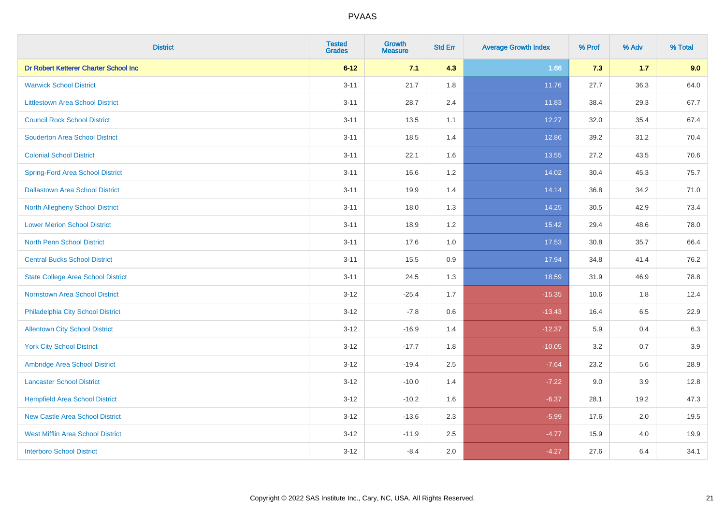| <b>District</b>                           | <b>Tested</b><br><b>Grades</b> | <b>Growth</b><br><b>Measure</b> | <b>Std Err</b> | <b>Average Growth Index</b> | % Prof | % Adv | % Total |
|-------------------------------------------|--------------------------------|---------------------------------|----------------|-----------------------------|--------|-------|---------|
| Dr Robert Ketterer Charter School Inc     | $6 - 12$                       | 7.1                             | 4.3            | 1.66                        | 7.3    | $1.7$ | 9.0     |
| <b>Warwick School District</b>            | $3 - 11$                       | 21.7                            | 1.8            | 11.76                       | 27.7   | 36.3  | 64.0    |
| <b>Littlestown Area School District</b>   | $3 - 11$                       | 28.7                            | 2.4            | 11.83                       | 38.4   | 29.3  | 67.7    |
| <b>Council Rock School District</b>       | $3 - 11$                       | 13.5                            | 1.1            | 12.27                       | 32.0   | 35.4  | 67.4    |
| <b>Souderton Area School District</b>     | $3 - 11$                       | 18.5                            | 1.4            | 12.86                       | 39.2   | 31.2  | 70.4    |
| <b>Colonial School District</b>           | $3 - 11$                       | 22.1                            | 1.6            | 13.55                       | 27.2   | 43.5  | 70.6    |
| <b>Spring-Ford Area School District</b>   | $3 - 11$                       | 16.6                            | 1.2            | 14.02                       | 30.4   | 45.3  | 75.7    |
| <b>Dallastown Area School District</b>    | $3 - 11$                       | 19.9                            | 1.4            | 14.14                       | 36.8   | 34.2  | 71.0    |
| <b>North Allegheny School District</b>    | $3 - 11$                       | 18.0                            | 1.3            | 14.25                       | 30.5   | 42.9  | 73.4    |
| <b>Lower Merion School District</b>       | $3 - 11$                       | 18.9                            | 1.2            | 15.42                       | 29.4   | 48.6  | 78.0    |
| North Penn School District                | $3 - 11$                       | 17.6                            | 1.0            | 17.53                       | 30.8   | 35.7  | 66.4    |
| <b>Central Bucks School District</b>      | $3 - 11$                       | 15.5                            | 0.9            | 17.94                       | 34.8   | 41.4  | 76.2    |
| <b>State College Area School District</b> | $3 - 11$                       | 24.5                            | 1.3            | 18.59                       | 31.9   | 46.9  | 78.8    |
| <b>Norristown Area School District</b>    | $3-12$                         | $-25.4$                         | 1.7            | $-15.35$                    | 10.6   | 1.8   | 12.4    |
| Philadelphia City School District         | $3-12$                         | $-7.8$                          | $0.6\,$        | $-13.43$                    | 16.4   | 6.5   | 22.9    |
| <b>Allentown City School District</b>     | $3 - 12$                       | $-16.9$                         | 1.4            | $-12.37$                    | 5.9    | 0.4   | 6.3     |
| <b>York City School District</b>          | $3 - 12$                       | $-17.7$                         | 1.8            | $-10.05$                    | 3.2    | 0.7   | 3.9     |
| Ambridge Area School District             | $3 - 12$                       | $-19.4$                         | 2.5            | $-7.64$                     | 23.2   | 5.6   | 28.9    |
| <b>Lancaster School District</b>          | $3-12$                         | $-10.0$                         | 1.4            | $-7.22$                     | 9.0    | 3.9   | 12.8    |
| <b>Hempfield Area School District</b>     | $3 - 12$                       | $-10.2$                         | 1.6            | $-6.37$                     | 28.1   | 19.2  | 47.3    |
| <b>New Castle Area School District</b>    | $3 - 12$                       | $-13.6$                         | 2.3            | $-5.99$                     | 17.6   | 2.0   | 19.5    |
| <b>West Mifflin Area School District</b>  | $3 - 12$                       | $-11.9$                         | 2.5            | $-4.77$                     | 15.9   | 4.0   | 19.9    |
| <b>Interboro School District</b>          | $3-12$                         | $-8.4$                          | 2.0            | $-4.27$                     | 27.6   | 6.4   | 34.1    |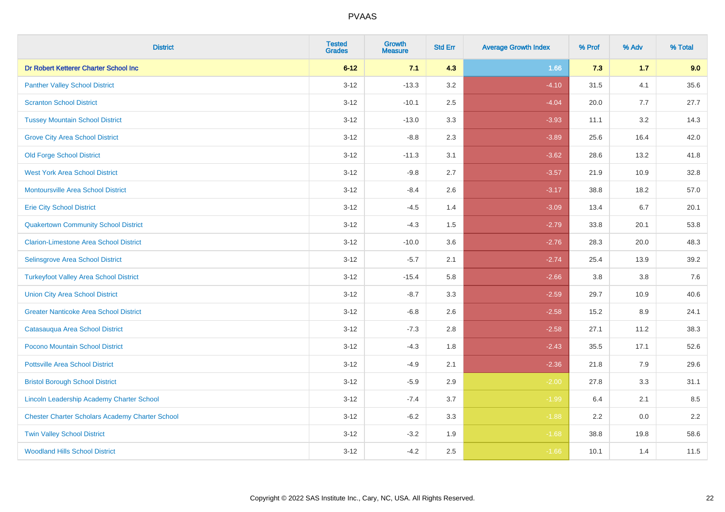| <b>District</b>                                        | <b>Tested</b><br><b>Grades</b> | <b>Growth</b><br><b>Measure</b> | <b>Std Err</b> | <b>Average Growth Index</b> | % Prof | % Adv   | % Total |
|--------------------------------------------------------|--------------------------------|---------------------------------|----------------|-----------------------------|--------|---------|---------|
| Dr Robert Ketterer Charter School Inc                  | $6 - 12$                       | 7.1                             | 4.3            | 1.66                        | 7.3    | $1.7$   | 9.0     |
| <b>Panther Valley School District</b>                  | $3 - 12$                       | $-13.3$                         | 3.2            | $-4.10$                     | 31.5   | 4.1     | 35.6    |
| <b>Scranton School District</b>                        | $3 - 12$                       | $-10.1$                         | 2.5            | $-4.04$                     | 20.0   | 7.7     | 27.7    |
| <b>Tussey Mountain School District</b>                 | $3 - 12$                       | $-13.0$                         | 3.3            | $-3.93$                     | 11.1   | 3.2     | 14.3    |
| <b>Grove City Area School District</b>                 | $3 - 12$                       | $-8.8$                          | 2.3            | $-3.89$                     | 25.6   | 16.4    | 42.0    |
| <b>Old Forge School District</b>                       | $3 - 12$                       | $-11.3$                         | 3.1            | $-3.62$                     | 28.6   | 13.2    | 41.8    |
| <b>West York Area School District</b>                  | $3 - 12$                       | $-9.8$                          | 2.7            | $-3.57$                     | 21.9   | 10.9    | 32.8    |
| <b>Montoursville Area School District</b>              | $3 - 12$                       | $-8.4$                          | 2.6            | $-3.17$                     | 38.8   | 18.2    | 57.0    |
| <b>Erie City School District</b>                       | $3 - 12$                       | $-4.5$                          | 1.4            | $-3.09$                     | 13.4   | 6.7     | 20.1    |
| <b>Quakertown Community School District</b>            | $3-12$                         | $-4.3$                          | 1.5            | $-2.79$                     | 33.8   | 20.1    | 53.8    |
| <b>Clarion-Limestone Area School District</b>          | $3-12$                         | $-10.0$                         | 3.6            | $-2.76$                     | 28.3   | 20.0    | 48.3    |
| Selinsgrove Area School District                       | $3 - 12$                       | $-5.7$                          | 2.1            | $-2.74$                     | 25.4   | 13.9    | 39.2    |
| <b>Turkeyfoot Valley Area School District</b>          | $3 - 12$                       | $-15.4$                         | 5.8            | $-2.66$                     | 3.8    | $3.8\,$ | 7.6     |
| <b>Union City Area School District</b>                 | $3 - 12$                       | $-8.7$                          | 3.3            | $-2.59$                     | 29.7   | 10.9    | 40.6    |
| <b>Greater Nanticoke Area School District</b>          | $3 - 12$                       | $-6.8$                          | 2.6            | $-2.58$                     | 15.2   | 8.9     | 24.1    |
| Catasauqua Area School District                        | $3 - 12$                       | $-7.3$                          | 2.8            | $-2.58$                     | 27.1   | 11.2    | 38.3    |
| Pocono Mountain School District                        | $3 - 12$                       | $-4.3$                          | 1.8            | $-2.43$                     | 35.5   | 17.1    | 52.6    |
| <b>Pottsville Area School District</b>                 | $3 - 12$                       | $-4.9$                          | 2.1            | $-2.36$                     | 21.8   | 7.9     | 29.6    |
| <b>Bristol Borough School District</b>                 | $3-12$                         | $-5.9$                          | 2.9            | $-2.00$                     | 27.8   | 3.3     | 31.1    |
| <b>Lincoln Leadership Academy Charter School</b>       | $3 - 12$                       | $-7.4$                          | 3.7            | $-1.99$                     | 6.4    | 2.1     | 8.5     |
| <b>Chester Charter Scholars Academy Charter School</b> | $3 - 12$                       | $-6.2$                          | 3.3            | $-1.88$                     | 2.2    | 0.0     | 2.2     |
| <b>Twin Valley School District</b>                     | $3 - 12$                       | $-3.2$                          | 1.9            | $-1.68$                     | 38.8   | 19.8    | 58.6    |
| <b>Woodland Hills School District</b>                  | $3-12$                         | $-4.2$                          | 2.5            | $-1.66$                     | 10.1   | 1.4     | 11.5    |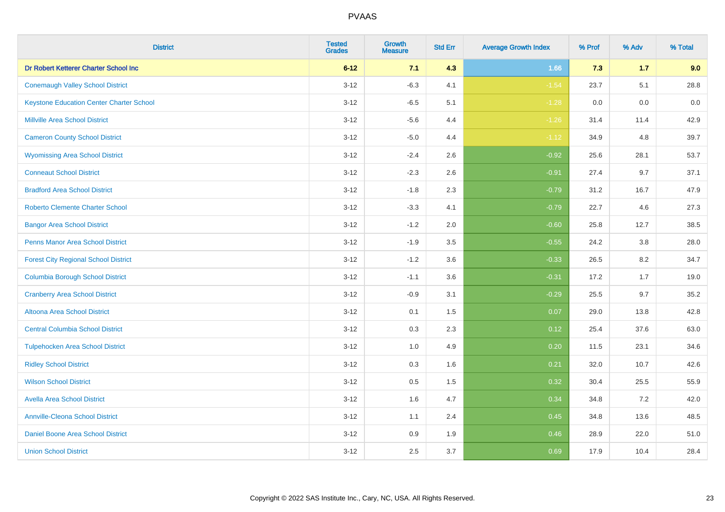| <b>District</b>                                 | <b>Tested</b><br><b>Grades</b> | Growth<br><b>Measure</b> | <b>Std Err</b> | <b>Average Growth Index</b> | % Prof | % Adv | % Total |
|-------------------------------------------------|--------------------------------|--------------------------|----------------|-----------------------------|--------|-------|---------|
| Dr Robert Ketterer Charter School Inc           | $6 - 12$                       | 7.1                      | 4.3            | 1.66                        | 7.3    | 1.7   | 9.0     |
| <b>Conemaugh Valley School District</b>         | $3 - 12$                       | $-6.3$                   | 4.1            | $-1.54$                     | 23.7   | 5.1   | 28.8    |
| <b>Keystone Education Center Charter School</b> | $3 - 12$                       | $-6.5$                   | 5.1            | $-1.28$                     | 0.0    | 0.0   | $0.0\,$ |
| <b>Millville Area School District</b>           | $3 - 12$                       | $-5.6$                   | 4.4            | $-1.26$                     | 31.4   | 11.4  | 42.9    |
| <b>Cameron County School District</b>           | $3 - 12$                       | $-5.0$                   | 4.4            | $-1.12$                     | 34.9   | 4.8   | 39.7    |
| <b>Wyomissing Area School District</b>          | $3 - 12$                       | $-2.4$                   | 2.6            | $-0.92$                     | 25.6   | 28.1  | 53.7    |
| <b>Conneaut School District</b>                 | $3 - 12$                       | $-2.3$                   | 2.6            | $-0.91$                     | 27.4   | 9.7   | 37.1    |
| <b>Bradford Area School District</b>            | $3 - 12$                       | $-1.8$                   | 2.3            | $-0.79$                     | 31.2   | 16.7  | 47.9    |
| <b>Roberto Clemente Charter School</b>          | $3 - 12$                       | $-3.3$                   | 4.1            | $-0.79$                     | 22.7   | 4.6   | 27.3    |
| <b>Bangor Area School District</b>              | $3 - 12$                       | $-1.2$                   | 2.0            | $-0.60$                     | 25.8   | 12.7  | 38.5    |
| <b>Penns Manor Area School District</b>         | $3 - 12$                       | $-1.9$                   | 3.5            | $-0.55$                     | 24.2   | 3.8   | 28.0    |
| <b>Forest City Regional School District</b>     | $3 - 12$                       | $-1.2$                   | 3.6            | $-0.33$                     | 26.5   | 8.2   | 34.7    |
| <b>Columbia Borough School District</b>         | $3 - 12$                       | $-1.1$                   | 3.6            | $-0.31$                     | 17.2   | 1.7   | 19.0    |
| <b>Cranberry Area School District</b>           | $3 - 12$                       | $-0.9$                   | 3.1            | $-0.29$                     | 25.5   | 9.7   | 35.2    |
| Altoona Area School District                    | $3 - 12$                       | 0.1                      | 1.5            | 0.07                        | 29.0   | 13.8  | 42.8    |
| <b>Central Columbia School District</b>         | $3 - 12$                       | 0.3                      | 2.3            | 0.12                        | 25.4   | 37.6  | 63.0    |
| <b>Tulpehocken Area School District</b>         | $3 - 12$                       | 1.0                      | 4.9            | 0.20                        | 11.5   | 23.1  | 34.6    |
| <b>Ridley School District</b>                   | $3 - 12$                       | 0.3                      | 1.6            | 0.21                        | 32.0   | 10.7  | 42.6    |
| <b>Wilson School District</b>                   | $3 - 12$                       | 0.5                      | 1.5            | 0.32                        | 30.4   | 25.5  | 55.9    |
| <b>Avella Area School District</b>              | $3 - 12$                       | 1.6                      | 4.7            | 0.34                        | 34.8   | 7.2   | 42.0    |
| <b>Annville-Cleona School District</b>          | $3 - 12$                       | 1.1                      | 2.4            | 0.45                        | 34.8   | 13.6  | 48.5    |
| Daniel Boone Area School District               | $3 - 12$                       | 0.9                      | 1.9            | 0.46                        | 28.9   | 22.0  | 51.0    |
| <b>Union School District</b>                    | $3 - 12$                       | 2.5                      | 3.7            | 0.69                        | 17.9   | 10.4  | 28.4    |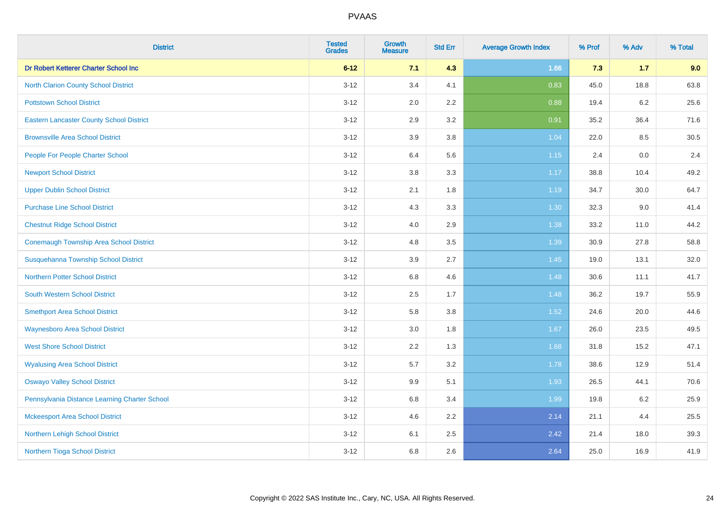| <b>District</b>                                 | <b>Tested</b><br><b>Grades</b> | <b>Growth</b><br><b>Measure</b> | <b>Std Err</b> | <b>Average Growth Index</b> | % Prof | % Adv   | % Total |
|-------------------------------------------------|--------------------------------|---------------------------------|----------------|-----------------------------|--------|---------|---------|
| Dr Robert Ketterer Charter School Inc           | $6 - 12$                       | 7.1                             | 4.3            | 1.66                        | 7.3    | $1.7$   | 9.0     |
| North Clarion County School District            | $3 - 12$                       | 3.4                             | 4.1            | 0.83                        | 45.0   | 18.8    | 63.8    |
| <b>Pottstown School District</b>                | $3 - 12$                       | 2.0                             | 2.2            | 0.88                        | 19.4   | 6.2     | 25.6    |
| <b>Eastern Lancaster County School District</b> | $3 - 12$                       | 2.9                             | 3.2            | 0.91                        | 35.2   | 36.4    | 71.6    |
| <b>Brownsville Area School District</b>         | $3 - 12$                       | 3.9                             | 3.8            | 1.04                        | 22.0   | 8.5     | 30.5    |
| People For People Charter School                | $3 - 12$                       | 6.4                             | 5.6            | 1.15                        | 2.4    | $0.0\,$ | 2.4     |
| <b>Newport School District</b>                  | $3 - 12$                       | 3.8                             | 3.3            | 1.17                        | 38.8   | 10.4    | 49.2    |
| <b>Upper Dublin School District</b>             | $3 - 12$                       | 2.1                             | 1.8            | 1.19                        | 34.7   | 30.0    | 64.7    |
| <b>Purchase Line School District</b>            | $3 - 12$                       | 4.3                             | 3.3            | 1.30                        | 32.3   | 9.0     | 41.4    |
| <b>Chestnut Ridge School District</b>           | $3-12$                         | 4.0                             | 2.9            | 1.38                        | 33.2   | 11.0    | 44.2    |
| <b>Conemaugh Township Area School District</b>  | $3 - 12$                       | 4.8                             | 3.5            | 1.39                        | 30.9   | 27.8    | 58.8    |
| Susquehanna Township School District            | $3 - 12$                       | 3.9                             | 2.7            | 1.45                        | 19.0   | 13.1    | 32.0    |
| <b>Northern Potter School District</b>          | $3 - 12$                       | 6.8                             | 4.6            | 1.48                        | 30.6   | 11.1    | 41.7    |
| <b>South Western School District</b>            | $3 - 12$                       | 2.5                             | 1.7            | 1.48                        | 36.2   | 19.7    | 55.9    |
| <b>Smethport Area School District</b>           | $3 - 12$                       | 5.8                             | $3.8\,$        | $1.52$                      | 24.6   | 20.0    | 44.6    |
| <b>Waynesboro Area School District</b>          | $3 - 12$                       | 3.0                             | 1.8            | 1.67                        | 26.0   | 23.5    | 49.5    |
| <b>West Shore School District</b>               | $3 - 12$                       | 2.2                             | 1.3            | 1.68                        | 31.8   | 15.2    | 47.1    |
| <b>Wyalusing Area School District</b>           | $3 - 12$                       | 5.7                             | 3.2            | 1.78                        | 38.6   | 12.9    | 51.4    |
| <b>Oswayo Valley School District</b>            | $3 - 12$                       | 9.9                             | 5.1            | 1.93                        | 26.5   | 44.1    | 70.6    |
| Pennsylvania Distance Learning Charter School   | $3 - 12$                       | 6.8                             | 3.4            | 1.99                        | 19.8   | 6.2     | 25.9    |
| <b>Mckeesport Area School District</b>          | $3 - 12$                       | 4.6                             | 2.2            | 2.14                        | 21.1   | 4.4     | 25.5    |
| Northern Lehigh School District                 | $3 - 12$                       | 6.1                             | 2.5            | 2.42                        | 21.4   | 18.0    | 39.3    |
| Northern Tioga School District                  | $3 - 12$                       | 6.8                             | 2.6            | 2.64                        | 25.0   | 16.9    | 41.9    |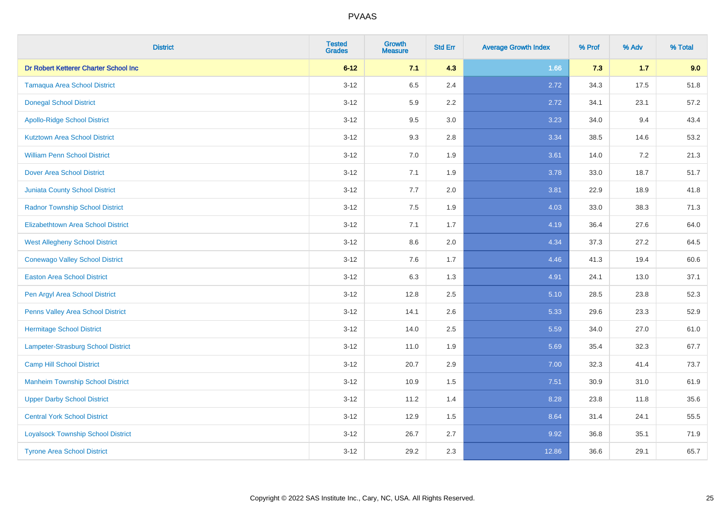| <b>District</b>                           | <b>Tested</b><br><b>Grades</b> | <b>Growth</b><br><b>Measure</b> | <b>Std Err</b> | <b>Average Growth Index</b> | % Prof | % Adv   | % Total |
|-------------------------------------------|--------------------------------|---------------------------------|----------------|-----------------------------|--------|---------|---------|
| Dr Robert Ketterer Charter School Inc     | $6 - 12$                       | 7.1                             | 4.3            | 1.66                        | 7.3    | $1.7$   | 9.0     |
| <b>Tamaqua Area School District</b>       | $3 - 12$                       | 6.5                             | 2.4            | 2.72                        | 34.3   | 17.5    | 51.8    |
| <b>Donegal School District</b>            | $3 - 12$                       | 5.9                             | 2.2            | 2.72                        | 34.1   | 23.1    | 57.2    |
| <b>Apollo-Ridge School District</b>       | $3 - 12$                       | 9.5                             | 3.0            | 3.23                        | 34.0   | 9.4     | 43.4    |
| <b>Kutztown Area School District</b>      | $3 - 12$                       | 9.3                             | 2.8            | 3.34                        | 38.5   | 14.6    | 53.2    |
| <b>William Penn School District</b>       | $3 - 12$                       | 7.0                             | 1.9            | 3.61                        | 14.0   | $7.2\,$ | 21.3    |
| <b>Dover Area School District</b>         | $3 - 12$                       | 7.1                             | 1.9            | 3.78                        | 33.0   | 18.7    | 51.7    |
| <b>Juniata County School District</b>     | $3 - 12$                       | 7.7                             | 2.0            | 3.81                        | 22.9   | 18.9    | 41.8    |
| <b>Radnor Township School District</b>    | $3 - 12$                       | 7.5                             | 1.9            | 4.03                        | 33.0   | 38.3    | 71.3    |
| <b>Elizabethtown Area School District</b> | $3-12$                         | 7.1                             | 1.7            | 4.19                        | 36.4   | 27.6    | 64.0    |
| <b>West Allegheny School District</b>     | $3-12$                         | 8.6                             | 2.0            | 4.34                        | 37.3   | 27.2    | 64.5    |
| <b>Conewago Valley School District</b>    | $3 - 12$                       | 7.6                             | 1.7            | 4.46                        | 41.3   | 19.4    | 60.6    |
| <b>Easton Area School District</b>        | $3 - 12$                       | 6.3                             | 1.3            | 4.91                        | 24.1   | 13.0    | 37.1    |
| Pen Argyl Area School District            | $3 - 12$                       | 12.8                            | 2.5            | 5.10                        | 28.5   | 23.8    | 52.3    |
| Penns Valley Area School District         | $3 - 12$                       | 14.1                            | 2.6            | 5.33                        | 29.6   | 23.3    | 52.9    |
| <b>Hermitage School District</b>          | $3 - 12$                       | 14.0                            | 2.5            | 5.59                        | 34.0   | 27.0    | 61.0    |
| Lampeter-Strasburg School District        | $3 - 12$                       | 11.0                            | 1.9            | 5.69                        | 35.4   | 32.3    | 67.7    |
| <b>Camp Hill School District</b>          | $3 - 12$                       | 20.7                            | 2.9            | 7.00                        | 32.3   | 41.4    | 73.7    |
| <b>Manheim Township School District</b>   | $3 - 12$                       | 10.9                            | 1.5            | 7.51                        | 30.9   | 31.0    | 61.9    |
| <b>Upper Darby School District</b>        | $3 - 12$                       | 11.2                            | 1.4            | 8.28                        | 23.8   | 11.8    | 35.6    |
| <b>Central York School District</b>       | $3 - 12$                       | 12.9                            | 1.5            | 8.64                        | 31.4   | 24.1    | 55.5    |
| <b>Loyalsock Township School District</b> | $3 - 12$                       | 26.7                            | 2.7            | 9.92                        | 36.8   | 35.1    | 71.9    |
| <b>Tyrone Area School District</b>        | $3 - 12$                       | 29.2                            | 2.3            | 12.86                       | 36.6   | 29.1    | 65.7    |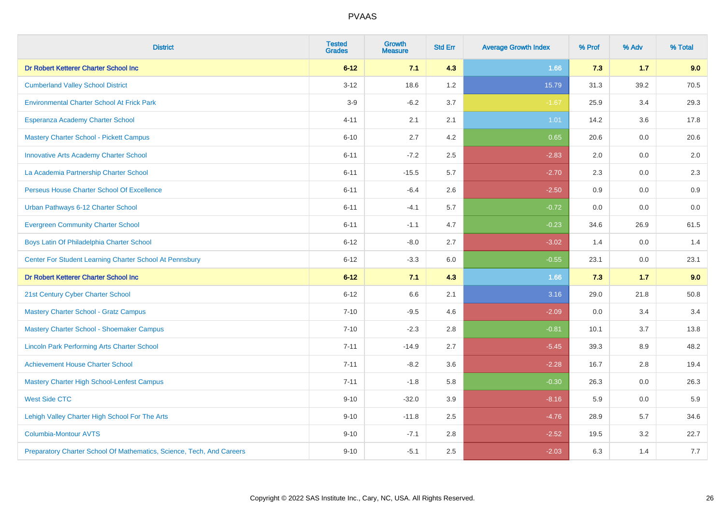| <b>District</b>                                                       | <b>Tested</b><br><b>Grades</b> | <b>Growth</b><br><b>Measure</b> | <b>Std Err</b> | <b>Average Growth Index</b> | % Prof | % Adv | % Total |
|-----------------------------------------------------------------------|--------------------------------|---------------------------------|----------------|-----------------------------|--------|-------|---------|
| Dr Robert Ketterer Charter School Inc                                 | $6 - 12$                       | 7.1                             | 4.3            | 1.66                        | 7.3    | 1.7   | 9.0     |
| <b>Cumberland Valley School District</b>                              | $3 - 12$                       | 18.6                            | 1.2            | 15.79                       | 31.3   | 39.2  | 70.5    |
| <b>Environmental Charter School At Frick Park</b>                     | $3-9$                          | $-6.2$                          | 3.7            | $-1.67$                     | 25.9   | 3.4   | 29.3    |
| Esperanza Academy Charter School                                      | $4 - 11$                       | 2.1                             | 2.1            | 1.01                        | 14.2   | 3.6   | 17.8    |
| <b>Mastery Charter School - Pickett Campus</b>                        | $6 - 10$                       | 2.7                             | 4.2            | 0.65                        | 20.6   | 0.0   | 20.6    |
| <b>Innovative Arts Academy Charter School</b>                         | $6 - 11$                       | $-7.2$                          | 2.5            | $-2.83$                     | 2.0    | 0.0   | 2.0     |
| La Academia Partnership Charter School                                | $6 - 11$                       | $-15.5$                         | 5.7            | $-2.70$                     | 2.3    | 0.0   | 2.3     |
| Perseus House Charter School Of Excellence                            | $6 - 11$                       | $-6.4$                          | 2.6            | $-2.50$                     | 0.9    | 0.0   | 0.9     |
| Urban Pathways 6-12 Charter School                                    | $6 - 11$                       | $-4.1$                          | 5.7            | $-0.72$                     | 0.0    | 0.0   | $0.0\,$ |
| <b>Evergreen Community Charter School</b>                             | $6 - 11$                       | $-1.1$                          | 4.7            | $-0.23$                     | 34.6   | 26.9  | 61.5    |
| Boys Latin Of Philadelphia Charter School                             | $6 - 12$                       | $-8.0$                          | 2.7            | $-3.02$                     | 1.4    | 0.0   | 1.4     |
| Center For Student Learning Charter School At Pennsbury               | $6 - 12$                       | $-3.3$                          | 6.0            | $-0.55$                     | 23.1   | 0.0   | 23.1    |
| Dr Robert Ketterer Charter School Inc                                 | $6 - 12$                       | 7.1                             | 4.3            | 1.66                        | 7.3    | 1.7   | 9.0     |
| 21st Century Cyber Charter School                                     | $6 - 12$                       | 6.6                             | 2.1            | 3.16                        | 29.0   | 21.8  | 50.8    |
| <b>Mastery Charter School - Gratz Campus</b>                          | $7 - 10$                       | $-9.5$                          | 4.6            | $-2.09$                     | 0.0    | 3.4   | 3.4     |
| Mastery Charter School - Shoemaker Campus                             | $7 - 10$                       | $-2.3$                          | 2.8            | $-0.81$                     | 10.1   | 3.7   | 13.8    |
| <b>Lincoln Park Performing Arts Charter School</b>                    | $7 - 11$                       | $-14.9$                         | 2.7            | $-5.45$                     | 39.3   | 8.9   | 48.2    |
| <b>Achievement House Charter School</b>                               | $7 - 11$                       | $-8.2$                          | 3.6            | $-2.28$                     | 16.7   | 2.8   | 19.4    |
| <b>Mastery Charter High School-Lenfest Campus</b>                     | $7 - 11$                       | $-1.8$                          | 5.8            | $-0.30$                     | 26.3   | 0.0   | 26.3    |
| <b>West Side CTC</b>                                                  | $9 - 10$                       | $-32.0$                         | 3.9            | $-8.16$                     | 5.9    | 0.0   | 5.9     |
| Lehigh Valley Charter High School For The Arts                        | $9 - 10$                       | $-11.8$                         | 2.5            | $-4.76$                     | 28.9   | 5.7   | 34.6    |
| <b>Columbia-Montour AVTS</b>                                          | $9 - 10$                       | $-7.1$                          | 2.8            | $-2.52$                     | 19.5   | 3.2   | 22.7    |
| Preparatory Charter School Of Mathematics, Science, Tech, And Careers | $9 - 10$                       | $-5.1$                          | 2.5            | $-2.03$                     | 6.3    | 1.4   | 7.7     |